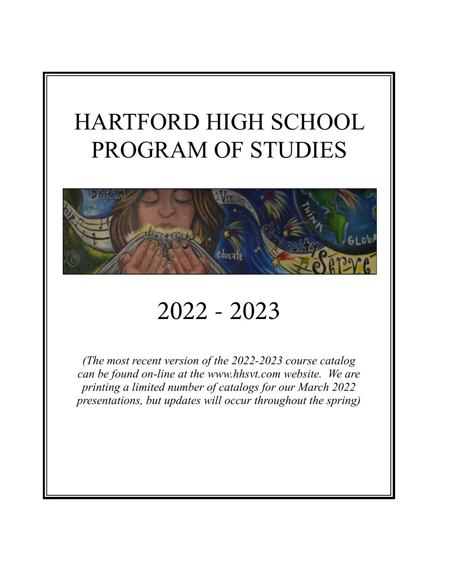# HARTFORD HIGH SCHOOL PROGRAM OF STUDIES



# 2022 - 2023

*(The most recent version of the 2022-2023 course catalog can be found on-line at the www.hhsvt.com website. We are printing a limited number of catalogs for our March 2022 presentations, but updates will occur throughout the spring)*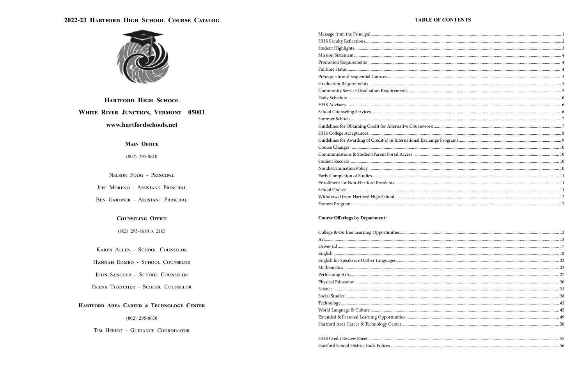

## **HARTFORD HIGH SCHOOL** WHITE RIVER JUNCTION, VERMONT 05001 www.hartfordschools.net

### **MAIN OFFICE**

 $(802)$  295-8610

NELSON FOGG - PRINCIPAL

JEFF MORENO - ASSISTANT PRINCIPAL

BEN GARDNER - ASSISTANT PRINCIPAL

### **COUNSELING OFFICE**

 $(802)$  295-8610 x 2103

KAREN ALLEN - SCHOOL COUNSELOR

HANNAH ROMEO - SCHOOL COUNSELOR

JOHN SANCHEZ - SCHOOL COUNSELOR

FRANK THATCHER - SCHOOL COUNSELOR

### HARTFORD AREA CAREER & TECHNOLOGY CENTER

 $(802)$  295-8630

TIM HEBERT - GUIDANCE COORDINATOR

| Community Service Graduation Requirements                 |
|-----------------------------------------------------------|
|                                                           |
|                                                           |
|                                                           |
|                                                           |
| Guidelines for Obtaining Credit for Alternative Coursewo  |
|                                                           |
| Guidelines for Awarding of Credit(s) in International Exc |
|                                                           |
| Communications & Student/Parent Portal Access             |
|                                                           |
|                                                           |
|                                                           |
|                                                           |
|                                                           |
|                                                           |
|                                                           |
|                                                           |

### **Course Offerings by Department:**

| College & On-line Learning Opportunities   |
|--------------------------------------------|
|                                            |
|                                            |
|                                            |
|                                            |
|                                            |
|                                            |
|                                            |
|                                            |
|                                            |
|                                            |
|                                            |
|                                            |
| Extended & Personal Learning Opportunities |
| Hartford Area Career & Technology Center   |
|                                            |

### **TABLE OF CONTENTS**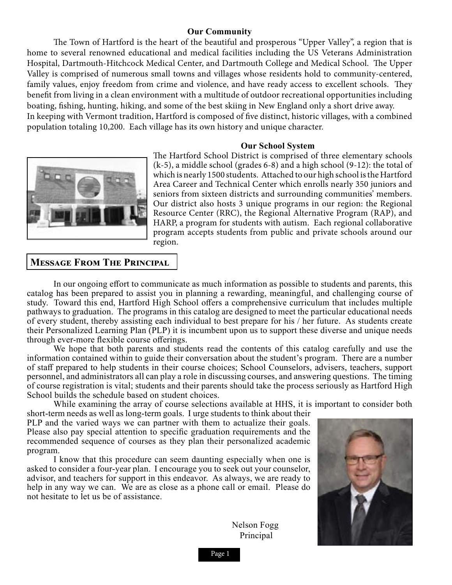### **Our Community**

The Town of Hartford is the heart of the beautiful and prosperous "Upper Valley", a region that is home to several renowned educational and medical facilities including the US Veterans Administration Hospital, Dartmouth-Hitchcock Medical Center, and Dartmouth College and Medical School. The Upper Valley is comprised of numerous small towns and villages whose residents hold to community-centered, family values, enjoy freedom from crime and violence, and have ready access to excellent schools. They benefit from living in a clean environment with a multitude of outdoor recreational opportunities including boating, fishing, hunting, hiking, and some of the best skiing in New England only a short drive away. In keeping with Vermont tradition, Hartford is composed of five distinct, historic villages, with a combined population totaling 10,200. Each village has its own history and unique character.

### **Our School System**



The Hartford School District is comprised of three elementary schools (k-5), a middle school (grades 6-8) and a high school (9-12): the total of which is nearly 1500 students. Attached to our high school is the Hartford Area Career and Technical Center which enrolls nearly 350 juniors and seniors from sixteen districts and surrounding communities' members. Our district also hosts 3 unique programs in our region: the Regional Resource Center (RRC), the Regional Alternative Program (RAP), and HARP, a program for students with autism. Each regional collaborative program accepts students from public and private schools around our region.

### **Message From The Principal**

In our ongoing effort to communicate as much information as possible to students and parents, this catalog has been prepared to assist you in planning a rewarding, meaningful, and challenging course of study. Toward this end, Hartford High School offers a comprehensive curriculum that includes multiple pathways to graduation. The programs in this catalog are designed to meet the particular educational needs of every student, thereby assisting each individual to best prepare for his / her future. As students create their Personalized Learning Plan (PLP) it is incumbent upon us to support these diverse and unique needs through ever-more flexible course offerings.

We hope that both parents and students read the contents of this catalog carefully and use the information contained within to guide their conversation about the student's program. There are a number of staff prepared to help students in their course choices; School Counselors, advisers, teachers, support personnel, and administrators all can play a role in discussing courses, and answering questions. The timing of course registration is vital; students and their parents should take the process seriously as Hartford High School builds the schedule based on student choices.

While examining the array of course selections available at HHS, it is important to consider both short-term needs as well as long-term goals. I urge students to think about their

PLP and the varied ways we can partner with them to actualize their goals. Please also pay special attention to specific graduation requirements and the recommended sequence of courses as they plan their personalized academic program.

I know that this procedure can seem daunting especially when one is asked to consider a four-year plan. I encourage you to seek out your counselor, advisor, and teachers for support in this endeavor. As always, we are ready to help in any way we can. We are as close as a phone call or email. Please do not hesitate to let us be of assistance.

> Nelson Fogg Principal



Page 1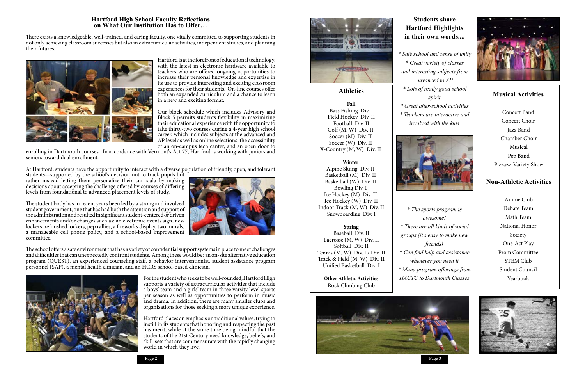### **Hartford High School Faculty Reflections on What Our Institution Has to Offer…**

There exists a knowledgeable, well-trained, and caring faculty, one vitally committed to supporting students in not only achieving classroom successes but also in extracurricular activities, independent studies, and planning their futures.



Hartford is at the forefront of educational technology, with the latest in electronic hardware available to teachers who are offered ongoing opportunities to increase their personal knowledge and expertise in its use to provide interesting and exciting classroom experiences for their students. On-line courses offer both an expanded curriculum and a chance to learn in a new and exciting format.

Our block schedule which includes Advisory and Block 5 permits students flexibility in maximizing their educational experience with the opportunity to take thirty-two courses during a 4-year high school career, which includes subjects at the advanced and AP level as well as online selections, the accessibility of an on-campus tech center, and an open door to

enrolling in Dartmouth courses. In accordance with Vermont's Act 77, Hartford is working with juniors and seniors toward dual enrollment.

At Hartford, students have the opportunity to interact with a diverse population of friendly, open, and tolerant

students—supported by the school's decision not to track pupils but rather instead letting them personalize their curricula by making decisions about accepting the challenge offered by courses of differing levels from foundational to advanced placement levels of study.

The student body has in recent years been led by a strong and involved student government, one that has had both the attention and support of the administration and resulted in significant student-centered or driven enhancements and/or changes such as: an electronic events sign, new lockers, refinished lockers, pep rallies, a fireworks display, two murals, a manageable cell phone policy, and a school-based improvement committee.



The school offers a safe environment that has a variety of confidential support systems in place to meet challenges and difficulties that can unexpectedly confront students. Among these would be: an on-site alternative education program (QUEST), an experienced counseling staff, a behavior interventionist, student assistance program personnel (SAP), a mental health clinician, and an HCRS school-based clinician.



For the student who seeks to be well-rounded, Hartford High supports a variety of extracurricular activities that include a boys' team and a girls' team in three varsity level sports per season as well as opportunities to perform in music and drama. In addition, there are many smaller clubs and organizations for those seeking a more unique experience.

Hartford places an emphasis on traditional values, trying to instill in its students that honoring and respecting the past has merit, while at the same time being mindful that the students of the 21st Century need knowledge, beliefs, and skill-sets that are commensurate with the rapidly changing world in which they live.



### **Students share Hartford Highlights in their own words....**

*\* Safe school and sense of unity \* Great variety of classes and interesting subjects from advanced to AP \* Lots of really good school spirit \* Great after-school activities \* Teachers are interactive and involved with the kids*



*\* The sports program is awesome! \* There are all kinds of social groups (it's easy to make new friends) \* Can find help and assistance whenever you need it \* Many program offerings from HACTC to Dartmouth Classes*



**Athletics**

**Fall** Bass Fishing Div. I Field Hockey Div. II Football Div. II Golf (M, W) Div. II Soccer (M) Div. II Soccer (W) Div. II X-Country (M, W) Div. II

**Winter** Alpine Skiing Div. II Basketball (M) Div. II Basketball (W) Div. II Bowling Div. I Ice Hockey (M) Div. II Ice Hockey (W) Div. II Indoor Track (M, W) Div. II Snowboarding Div. I

### **Spring**

Baseball Div. II Lacrosse (M, W) Div. II Softball Div. II Tennis (M, W) Div. I / Div. II Track & Field (M, W) Div. II Unified Basketball Div. I

> **Other Athletic Activities** Rock Climbing Club



### **Musical Activities**

Concert Band Concert Choir Jazz Band Chamber Choir Musical Pep Band Pizzazz-Variety Show

### **Non-Athletic Activities**

Anime Club Debate Team Math Team National Honor Society One-Act Play Prom Committee STEM Club Student Council Yearbook

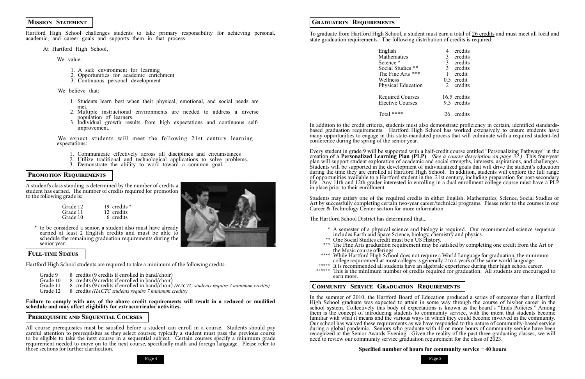Page 4 Page 5

### **Mission Statement**

Hartford High School challenges students to take primary responsibility for achieving personal, academic, and career goals and supports them in that process.

At Hartford High School,

We value:

- 1. A safe environment for learning
- 2. Opportunities for academic enrichment
- 3. Continuous personal development

We believe that:

- 1. Students learn best when their physical, emotional, and social needs are met.
- 2. Multiple instructional environments are needed to address a diverse population of learners.
- 3. Individual growth results from high expectations and continuous selfimprovement.

We expect students will meet the following 21st century learning expectations:

- Grade 12 19 credits \*<br>
Grade 11 12 credits<br>
Grade 10 6 credits 6 credits
- \* to be considered a senior, a student also must have already earned at least 2 English credits and must be able to schedule the remaining graduation requirements during the senior year.
- 1. Communicate effectively across all disciplines and circumstances
- 2. Utilize traditional and technological applications to solve problems.
- 3. Demonstrate the ability to work toward a common goal.

### **Promotion Requirements**

A student's class standing is determined by the number of credits a student has earned. The number of credits required for promotion to the following grade is:

### **Full-time Status**

Hartford High School students are required to take a minimum of the following credits:

- Grade 9 8 credits (9 credits if enrolled in band/choir)<br>Grade 10 8 credits (9 credits if enrolled in band/choir)
- Grade 10 8 credits (9 credits if enrolled in band/choir)<br>Grade 11 8 credits (9 credits if enrolled in band/choir)
- Grade 11 8 credits (9 credits if enrolled in band/choir) *(HACTC students require 7 minimum credits)*<br>Grade 12 8 credits *(HACTC students require 7 minimum credits)*

Grade 12 8 credits *(HACTC students require 7 minimum credits)*

**Failure to comply with any of the above credit requirements will result in a reduced or modified schedule and may affect eligibility for extracurricular activities.**

### **Prerequisite and Sequential Courses**

All course prerequisites must be satisfied before a student can enroll in a course. Students should pay careful attention to prerequisites as they select courses; typically a student must pass the previous course to be eligible to take the next course in a sequential subject. Certain courses specify a minimum grade requirement needed to move on to the next course, specifically math and foreign language. Please refer to those sections for further clarification.

- 
- 
- includes Earth and Space Science, biology, chemistry and physics. \*\* One Social Studies credit must be a US History. \*\*\* The Fine Arts graduation requirement may be satisfied by completing one credit from the Art or
- 
- <sup>\*\*\*\*\*</sup> It is recommended all students have an algebraic experience during their high school career.<br>\*\*\*\*\*\* This is the minimum number of credits required for graduation. All students are encouraged to



To graduate from Hartford High School, a student must earn a total of 26 credits and must meet all local and state graduation requirements. The following distribution of credits is required:

> English 4 credits Mathematics 3 credits<br>Science \* 3 credits Science \* 3 credits<br>Social Studies \*\* 3 credits Social Studies \*\* 3 credits<br>The Fine Arts \*\*\* 1 credit The Fine Arts \*\*\*  $1$ <br>Wellness  $0.5$ Physical Education

Required Courses 16.5 credits<br>Elective Courses 9.5 credits Elective Courses

Total \*\*\*\* 26 credits

In addition to the credit criteria, students must also demonstrate proficiency in certain, identified standardsbased graduation requirements. Hartford High School has worked extensively to ensure students have many opportunities to engage in this state-mandated process that will culminate with a required student-led conference during the spring of the senior year.

Every student in grade 9 will be supported with a half-credit course entitled "Personalizing Pathways" in the creation of a **Personalized Learning Plan (PLP)**. *(See a course description on page 32.)* This four-year plan will support student exploration of academic and social strengths, interests, aspirations, and challenges. Students will be supported in the development of individualized goals that will drive the student's education during the time they are enrolled at Hartford High School. In addition, students will explore the full range of opportunities available to a Hartford student in the 21st century, including preparation for post-secondary life. Any 11th and 12th grader interested in enrolling in a dual enrollment college course must have a PLP in place prior to their enrollment.

Students may satisfy one of the required credits in either English, Mathematics, Science, Social Studies or Art by successfully completing certain two-year career/technical programs. Please refer to the courses in our Career & Technology Center section for more information.

The Hartford School District has determined that...

\* A semester of a physical science and biology is required. Our recommended science sequence

the Music course offerings.<br>\*\*\*\* While Hartford High School does not require a World Language for graduation, the minimum<br>college requirement at most colleges is generally 2 to 4 years of the same world language.

earn more.

### **Community Service Graduation Requirements**

In the summer of 2010, the Hartford Board of Education produced a series of outcomes that a Hartford High School graduate was expected to attain in some way through the course of his/her career in the school system. Collectively this body of expectations is known as the board's "Ends Policies." Among them is the concept of introducing students to community service, with the intent that students become familiar with what it means and the various ways in which they could become involved in the community. Our school has waived these requirements as we have responded to the nature of community-based service during a global pandemic. Seniors who graduate with 40 or more hours of community service have been recognized at the Senior Awards Evening. Given the reality of the past three graduating classes, we will need to review our community service graduation requirement for the class of 2023.



- 
- 
- 
- 
- 
- $0.5$  credit<br>2 credits
- 
- 

### **Specified number of hours for community service = 40 hours**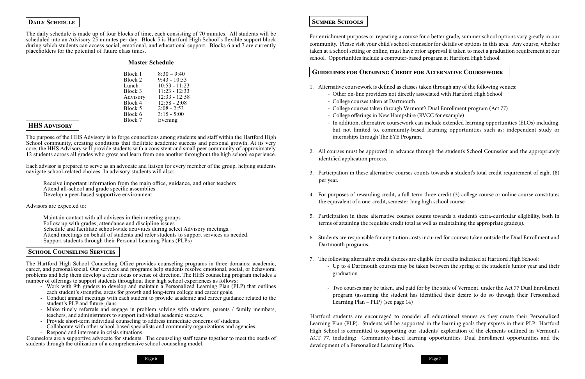### **DAILY SCHEDULE**

The daily schedule is made up of four blocks of time, each consisting of 70 minutes. All students will be scheduled into an Advisory 25 minutes per day. Block 5 is Hartford High School's flexible support block during which students can access social, emotional, and educational support. Blocks 6 and 7 are currently placeholders for the potential of future class times.

### **Master Schedule**

| Block 1  | $8:30 - 9:40$   |
|----------|-----------------|
| Block 2  | $9:43 - 10:53$  |
| Lunch    | $10:53 - 11:23$ |
| Block 3  | $11:23 - 12:33$ |
| Advisory | $12:33 - 12:58$ |
| Block 4  | $12:58 - 2:08$  |
| Block 5  | $2:08 - 2:53$   |
| Block 6  | $3:15 - 5:00$   |
| Block 7  | Evening         |
|          |                 |

### **HHS Advisory**

The purpose of the HHS Advisory is to forge connections among students and staff within the Hartford High School community, creating conditions that facilitate academic success and personal growth. At its very core, the HHS Advisory will provide students with a consistent and small peer community of approximately 12 students across all grades who grow and learn from one another throughout the high school experience.

The Hartford High School Counseling Office provides counseling programs in three domains: academic, career, and personal/social. Our services and programs help students resolve emotional, social, or behavioral problems and help them develop a clear focus or sense of direction. The HHS counseling program includes a number of offerings to support students throughout their high school experiences as follows:

- Work with 9th graders to develop and maintain a Personalized Learning Plan (PLP) that outlines each student's strengths, areas for growth and long-term college and career goals.
- Conduct annual meetings with each student to provide academic and career guidance related to the student's PLP and future plans.
- Make timely referrals and engage in problem solving with students, parents / family members, teachers, and administrators to support individual academic success.
- 
- Provide short-term individual counseling to address immediate concerns of students.<br>- Collaborate with other school-based specialists and community organizations and agencies.<br>- Respond and intervene in crisis situations
- 

Each advisor is prepared to serve as an advocate and liaison for every member of the group, helping students navigate school-related choices. In advisory students will also:

Receive important information from the main office, guidance, and other teachers Attend all-school and grade specific assemblies Develop a peer-based supportive environment

Advisors are expected to:

Maintain contact with all advisees in their meeting groups Follow up with grades, attendance and discipline issues Schedule and facilitate school-wide activities during select Advisory meetings. Attend meetings on behalf of students and refer students to support services as needed. Support students through their Personal Learning Plans (PLPs)

### **School Counseling Services**

Counselors are a supportive advocate for students. The counseling staff teams together to meet the needs of students through the utilization of a comprehensive school counseling model.

### **Summer Schools**

For enrichment purposes or repeating a course for a better grade, summer school options vary greatly in our community. Please visit your child's school counselor for details or options in this area. Any course, whether taken at a school setting or online, must have prior approval if taken to meet a graduation requirement at our school. Opportunities include a computer-based program at Hartford High School.

### **Guidelines for Obtaining Credit for Alternative Coursework**

- In addition, alternative coursework can include extended learning opportunities (ELOs) including, but not limited to, community-based learning opportunities such as: independent study or

2. All courses must be approved in advance through the student's School Counselor and the appropriately

3. Participation in these alternative courses counts towards a student's total credit requirement of eight (8)

4. For purposes of rewarding credit, a full-term three-credit (3) college course or online course constitutes

- 1. Alternative coursework is defined as classes taken through any of the following venues:
	- Other on-line providers not directly associated with Hartford High School
	- College courses taken at Dartmouth
	- College courses taken through Vermont's Dual Enrollment program (Act 77)
	- College offerings in New Hampshire (RVCC for example)
	- internships through The EYE Program.
- identified application process.
- per year.
- the equivalent of a one-credit, semester-long high school course.
- terms of attaining the requisite credit total as well as maintaining the appropriate grade(s).
- Dartmouth programs.
- 7. The following alternative credit choices are eligible for credits indicated at Hartford High School: graduation
	- Learning Plan PLP) (see page 14)

5. Participation in these alternative courses counts towards a student's extra-curricular eligibility, both in

6. Students are responsible for any tuition costs incurred for courses taken outside the Dual Enrollment and

- Up to 4 Dartmouth courses may be taken between the spring of the student's Junior year and their

- Two courses may be taken, and paid for by the state of Vermont, under the Act 77 Dual Enrollment program (assuming the student has identified their desire to do so through their Personalized

Hartford students are encouraged to consider all educational venues as they create their Personalized Learning Plan (PLP). Students will be supported in the learning goals they express in their PLP. Hartford High School is committed to supporting our students' exploration of the elements outlined in Vermont's ACT 77, including: Community-based learning opportunities, Dual Enrollment opportunities and the development of a Personalized Learning Plan.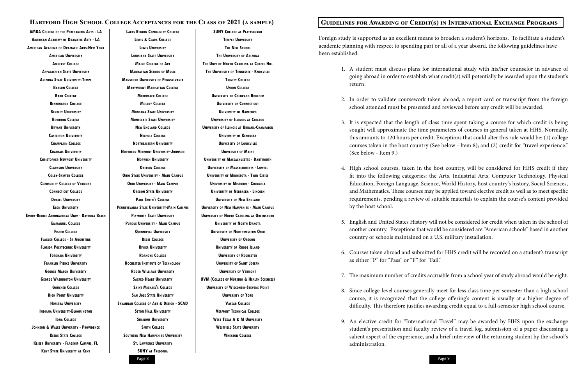**AMDA College of the Performing Arts - LA American Academy of Dramatic Arts - LA American Academy of Dramatic Arts-New York American University Amherst College Appalachian State University Arizona State University-Tempe Babson College Bard College Bennington College Bentley University Bowdoin College Bryant University Castleton University Champlain College Chatham University Christopher Newport University Clarkson University Colby-Sawyer College Community College of Vermont Connecticut College Drexel University Elon University Embry-Riddle Aeronautical Univ - Daytona Beach Emmanuel College Fisher College Flagler College - St Augustine Florida Polytechnic University Fordham University Franklin Pierce University George Mason University George Washington University Goucher College High Point University Hofstra University Indiana University-Bloomington Iona College Johnson & Wales University - Providence Keene State College Keiser University - Flagship Campus, FL Kent State University at Kent**

**Lakes Region Community College Lewis & Clark College Lewis University Louisiana State University Maine College of Art Manhattan School of Music Mansfield University of Pennsylvania Marymount Manhattan College Merrimack College Molloy College Montana State University Montclair State University New England College Nichols College Northeastern University Northern Vermont University-Johnson Norwich University Oberlin College Ohio State University - Main Campus Ohio University - Main Campus Oregon State University Paul Smith's College Pennsylvania State University-Main Campus Plymouth State University Purdue University - Main Campus Quinnipiac University Regis College Rivier University Roanoke College Rochester Institute of Technology Roger Williams University Sacred Heart University Saint Michael's College San Jose State University Savannah College of Art & Design - SCAD Seton Hall University Simmons University Smith College Southern New Hampshire University St. Lawrence University SUNY at Fredonia**

**SUNY College at Plattsburgh Temple University The New School The University of Arizona The Univ of North Carolina at Chapel Hill The University of Tennessee - Knoxville Trinity College Union College University of Colorado Boulder University of Connecticut University of Hartford University of Illinois at Chicago University of Illinois at Urbana-Champaign University of Kentucky University of Louisville University of Maine University of Massachusetts - Dartmouth University of Massachusetts - Lowell University of Minnesota - Twin Cities University of Missouri - Columbia University of Nebraska - Lincoln University of New England University of New Hampshire - Main Campus University of North Carolina at Greensboro University of North Dakota University of Northwestern Ohio University of Oregon University of Rhode Island University of Rochester University of Saint Joseph University of Vermont UVM (College of Nursing & Health Sciences) University of Wisconsin-Stevens Point University of York Vassar College Vermont Technical College West Texas A & M University Westfield State University Wheaton College**

### **Hartford High School College Acceptances for the Class of 2021 (a sample) Guidelines for Awarding of Credit(s) in International Exchange Programs**

Foreign study is supported as an excellent means to broaden a student's horizons. To facilitate a student's academic planning with respect to spending part or all of a year aboard, the following guidelines have been established:

1. A student must discuss plans for international study with his/her counselor in advance of going abroad in order to establish what credit(s) will potentially be awarded upon the student's

2. In order to validate coursework taken abroad, a report card or transcript from the foreign school attended must be presented and reviewed before any credit will be awarded.

3. It is expected that the length of class time spent taking a course for which credit is being sought will approximate the time parameters of courses in general taken at HHS. Normally, this amounts to 120 hours per credit. Exceptions that could alter this rule would be: (1) college courses taken in the host country (See below - Item 8); and (2) credit for "travel experience."

4. High school courses, taken in the host country, will be considered for HHS credit if they fit into the following categories: the Arts, Industrial Arts, Computer Technology, Physical Education, Foreign Language, Science, World History, host country's history, Social Sciences, and Mathematics. These courses may be applied toward elective credit as well as to meet specific requirements, pending a review of suitable materials to explain the course's content provided

- return.
- 
- (See below Item 9.)
- by the host school.
- country or schools maintained on a U.S. military installation.
- as either "P" for "Pass" or "F" for "Fail."
- 
- 
- administration.

5. English and United States History will not be considered for credit when taken in the school of another country. Exceptions that would be considered are "American schools" based in another

6. Courses taken abroad and submitted for HHS credit will be recorded on a student's transcript

7. The maximum number of credits accruable from a school year of study abroad would be eight.

8. Since college-level courses generally meet for less class time per semester than a high school course, it is recognized that the college offering's content is usually at a higher degree of difficulty. This therefore justifies awarding credit equal to a full-semester high school course.

9. An elective credit for "International Travel" may be awarded by HHS upon the exchange student's presentation and faculty review of a travel log, submission of a paper discussing a salient aspect of the experience, and a brief interview of the returning student by the school's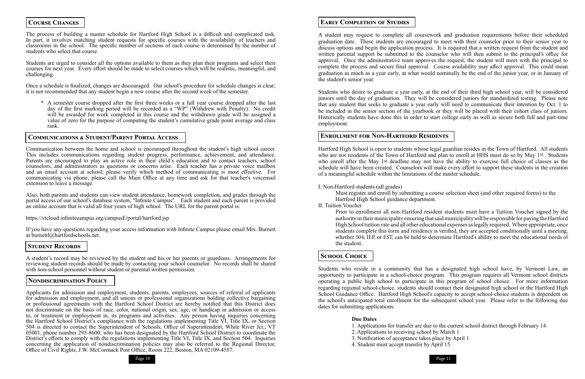### **Course Changes**

The process of building a master schedule for Hartford High School is a difficult and complicated task. In part, it involves matching student requests for specific courses with the availability of teachers and classrooms in the school. The specific number of sections of each course is determined by the number of students who select that course.

Students are urged to consider all the options available to them as they plan their programs and select their courses for next year. Every effort should be made to select courses which will be realistic, meaningful, and challenging.

Once a schedule is finalized, changes are discouraged. Our school's procedure for schedule changes is clear; it is not recommended that any student begin a new course after the second week of the semester.

**\*** A semester course dropped after the first three weeks or a full year course dropped after the last day of the first marking period will be recorded as a "WP" (Withdrew with Penalty). No credit will be awarded for work completed in this course and the withdrawn grade will be assigned a value of zero for the purpose of computing the student's cumulative grade point average and class rank.

### **Communications & Student/Parent Portal Access**

Communication between the home and school is encouraged throughout the student's high school career. This includes communications regarding student progress, performance, achievement, and attendance. Parents are encouraged to play an active role in their child's education and to contact teachers, school counselors, and administrators as questions or concerns arise. Each teacher has a private voice mailbox and an email account at school; please verify which method of communicating is most effective. For communicating via phone, please call the Main Office at any time and ask for that teacher's voicemail extension to leave a message.

Also, both parents and students can view student attendance, homework completion, and grades through the portal access of our school's database system, "Infinite Campus". Each student and each parent is provided an online account that is valid all four years of high school. The URL for the parent portal is:

https://vtcloud.infinitecampus.org/campusE/portal/hartford.jsp

If you have any questions regarding your access information with Infinite Campus please email Mrs. Burnett at burnettl@hartfordschools.net.

### **Student Records**

A student's record may be reviewed by the student and his or her parents or guardians. Arrangements for reviewing student records should be made by contacting your school counselor. No records shall be shared with non-school personnel without student or parental written permission.

### **Nondiscrimination Policy**

Applicants for admission and employment, students, parents, employees, sources of referral of applicants for admission and employment, and all unions or professional organizations holding collective bargaining or professional agreements with the Hartford School District are hereby notified that this District does not discriminate on the basis of race, color, national origin, sex, age, or handicap in admission or access to, or treatment or employment in, its programs and activities. Any person having inquiries concerning the Hartford School District's compliance with the regulations implementing Title VI, Title IX, or Section 504 is directed to contact the Superintendent of Schools, Office of Superintendent, White River Jct., VT 05001, phone number 295-8600, who has been designated by the Hartford School District to coordinate the District's efforts to comply with the regulations implementing Title VI, Title IX, and Section 504. Inquiries concerning the application of nondiscrimination policies may also be referred to the Regional Director, Office of Civil Rights, J.W. McCormack Post Office, Room 222, Boston, MA 02109-4557.



### **Early Completion of Studies**

A student may request to complete all coursework and graduation requirements before their scheduled graduation date. These students are encouraged to meet with their counselor prior to their senior year to discuss options and begin the application process. It is required that a written request from the student and written parental support be submitted to the counselor who will then submit to the principal's office for approval. Once the administrative team approves the request, the student will meet with the principal to complete the process and secure final approval. Course availability may affect approval. This could mean graduation as much as a year early, at what would nominally be the end of the junior year, or in January of the student's senior year.

Students who desire to graduate a year early, at the end of their third high school year, will be considered juniors until the day of graduation. They will be considered juniors for standardized testing. Please note that any student that seeks to graduate a year early will need to communicate their intention by Oct. 1 to be included in the senior section of the yearbook or they will be placed with their cohort class of juniors. Historically students have done this in order to start college early as well as secure both full and part-time employment.

### **Enrollment for Non-Hartford Residents**

Hartford High School is open to students whose legal guardian resides in the Town of Hartford. All students who are not residents of the Town of Hartford and plan to enroll at HHS must do so by May 1st. Students who enroll after the May 1st deadline may not have the ability to exercise full choice of classes as the schedule will have been created. Counselors will make every effort to support these students in the creation of a meaningful schedule within the limitations of the master schedule.

I. Non-Hartford students (all grades)

Must register and enroll by submitting a course selection sheet (and other required forms) to the Hartford High School guidance department. II. Tuition Voucher

Prior to enrollment all non-Hartford resident students must have a Tuition Voucher signed by the authority in their municipality ensuring that said municipality will be responsible for paying the Hartford High School tuition rate and all other educational expenses as legally required. Where appropriate, once students complete this form and residency is verified, they are accepted conditionally until a meeting, whether 504, IEP, or EST, can be held to determine Hartford's ability to meet the educational needs of the student.

### **School Choice**

Students who reside in a community that has a designated high school have, by Vermont Law, an opportunity to participate in a school-choice program. This program requires all Vermont school districts operating a public high school to participate in this program of school choice. For more information regarding regional school-choice, students should contact their designated high school or the Hartford High School Guidance Office. Hartford High School's capacity to accept school-choice students is dependent on the school's anticipated total enrollment for the subsequent school year. Please refer to the following due dates for submitting applications:

### **Due Dates**

1. Applications for transfer are due to the current school district through February 14.

Page 10 Page 11 Page 11 Page 11 Page 11 Page 11 Page 11 Page 11 Page 11 Page 11 Page 11 Page 11 Page 11 Page 11

- 
- 2. Applications to receiving school by March 1.
- 3. Notification of acceptance takes place by April 1.
- 4. Student must accept transfer by April 15.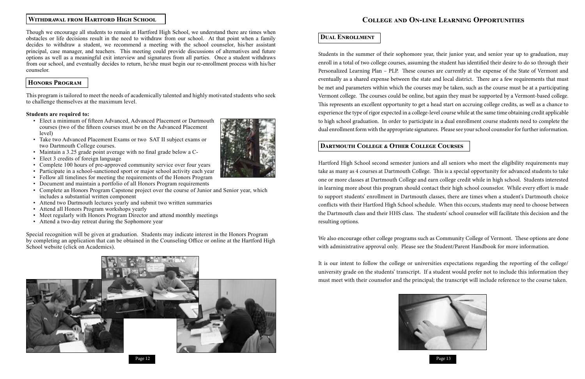

### **Withdrawal from Hartford High School**

Though we encourage all students to remain at Hartford High School, we understand there are times when obstacles or life decisions result in the need to withdraw from our school. At that point when a family decides to withdraw a student, we recommend a meeting with the school counselor, his/her assistant principal, case manager, and teachers. This meeting could provide discussions of alternatives and future options as well as a meaningful exit interview and signatures from all parties. Once a student withdraws from our school, and eventually decides to return, he/she must begin our re-enrollment process with his/her counselor.

### **Honors Program**

This program is tailored to meet the needs of academically talented and highly motivated students who seek to challenge themselves at the maximum level.

### **Students are required to:**

- Elect a minimum of fifteen Advanced, Advanced Placement or Dartmouth courses (two of the fifteen courses must be on the Advanced Placement level)
- Take two Advanced Placement Exams or two SAT II subject exams or two Dartmouth College courses.
- Maintain a 3.25 grade point average with no final grade below a C-
- Elect 3 credits of foreign language
- Complete 100 hours of pre-approved community service over four years
- Participate in a school-sanctioned sport or major school activity each year
- Follow all timelines for meeting the requirements of the Honors Program
- Document and maintain a portfolio of all Honors Program requirements
- Complete an Honors Program Capstone project over the course of Junior and Senior year, which includes a substantial written component
- Attend two Dartmouth lectures yearly and submit two written summaries
- Attend all Honors Program workshops yearly
- Meet regularly with Honors Program Director and attend monthly meetings
- Attend a two-day retreat during the Sophomore year

Special recognition will be given at graduation. Students may indicate interest in the Honors Program by completing an application that can be obtained in the Counseling Office or online at the Hartford High School website (click on Academics).

### **College and On-line Learning Opportunities**

### **Dual Enrollment**

Students in the summer of their sophomore year, their junior year, and senior year up to graduation, may enroll in a total of two college courses, assuming the student has identified their desire to do so through their Personalized Learning Plan – PLP. These courses are currently at the expense of the State of Vermont and eventually as a shared expense between the state and local district. There are a few requirements that must be met and parameters within which the courses may be taken, such as the course must be at a participating Vermont college. The courses could be online, but again they must be supported by a Vermont-based college. This represents an excellent opportunity to get a head start on accruing college credits, as well as a chance to experience the type of rigor expected in a college-level course while at the same time obtaining credit applicable to high school graduation. In order to participate in a dual enrollment course students need to complete the dual enrollment form with the appropriate signatures. Please see your school counselor for further information.

### **Dartmouth College & Other College Courses**

Hartford High School second semester juniors and all seniors who meet the eligibility requirements may take as many as 4 courses at Dartmouth College. This is a special opportunity for advanced students to take one or more classes at Dartmouth College and earn college credit while in high school. Students interested in learning more about this program should contact their high school counselor. While every effort is made to support students' enrollment in Dartmouth classes, there are times when a student's Dartmouth choice conflicts with their Hartford High School schedule. When this occurs, students may need to choose between the Dartmouth class and their HHS class. The students' school counselor will facilitate this decision and the resulting options.

We also encourage other college programs such as Community College of Vermont. These options are done with administrative approval only. Please see the Student/Parent Handbook for more information.

It is our intent to follow the college or universities expectations regarding the reporting of the college/ university grade on the students' transcript. If a student would prefer not to include this information they must meet with their counselor and the principal; the transcript will include reference to the course taken.



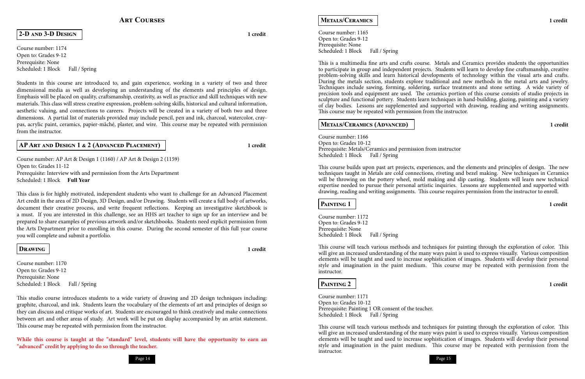### **Art Courses**

Course number: 1174 Open to: Grades 9-12 Prerequisite: None Scheduled: 1 Block Fall / Spring

### **2-D and 3-D Design 1 credit**

Students in this course are introduced to, and gain experience, working in a variety of two and three dimensional media as well as developing an understanding of the elements and principles of design. Emphasis will be placed on quality, craftsmanship, creativity, as well as practice and skill techniques with new materials. This class will stress creative expression, problem-solving skills, historical and cultural information, aesthetic valuing, and connections to careers. Projects will be created in a variety of both two and three dimensions. A partial list of materials provided may include pencil, pen and ink, charcoal, watercolor, craypas, acrylic paint, ceramics, papier-mâché, plaster, and wire. This course may be repeated with permission from the instructor.

Course number: 1170 Open to: Grades 9-12 Prerequisite: None Scheduled: 1 Block Fall / Spring

### **AP Art and Design 1 & 2 (Advanced Placement) 1 credit**

Course number: AP Art & Design 1 (1160) / AP Art & Design 2 (1159) Open to: Grades 11-12 Prerequisite: Interview with and permission from the Arts Department Scheduled: 1 Block **Full Year**

Course number: 1165 Open to: Grades 9-12 Prerequisite: None Scheduled: 1 Block Fall / Spring

This class is for highly motivated, independent students who want to challenge for an Advanced Placement Art credit in the area of 2D Design, 3D Design, and/or Drawing. Students will create a full body of artworks, document their creative process, and write frequent reflections. Keeping an investigative sketchbook is a must. If you are interested in this challenge, see an HHS art teacher to sign up for an interview and be prepared to share examples of previous artwork and/or sketchbooks. Students need explicit permission from the Arts Department prior to enrolling in this course. During the second semester of this full year course you will complete and submit a portfolio.

Course number: 1166 Open to: Grades 10-12 Prerequisite: Metals/Ceramics and permission from instructor Scheduled: 1 Block Fall / Spring

### **Drawing 1 credit**

Course number: 1172 Open to: Grades 9-12 Prerequisite: None Scheduled: 1 Block Fall / Spring

This studio course introduces students to a wide variety of drawing and 2D design techniques including: graphite, charcoal, and ink. Students learn the vocabulary of the elements of art and principles of design so they can discuss and critique works of art. Students are encouraged to think creatively and make connections between art and other areas of study. Art work will be put on display accompanied by an artist statement. This course may be repeated with permission from the instructor.

Course number: 1171 Open to: Grades 10-12 Prerequisite: Painting 1 OR consent of the teacher. Scheduled: 1 Block Fall / Spring

**While this course is taught at the "standard" level, students will have the opportunity to earn an "advanced" credit by applying to do so through the teacher.**

### **Metals/Ceramics 1 credit**

This is a multimedia fine arts and crafts course. Metals and Ceramics provides students the opportunities to participate in group and independent projects. Students will learn to develop fine craftsmanship, creative problem-solving skills and learn historical developments of technology within the visual arts and crafts. During the metals section, students explore traditional and new methods in the metal arts and jewelry. Techniques include sawing, forming, soldering, surface treatments and stone setting. A wide variety of precision tools and equipment are used. The ceramics portion of this course consists of studio projects in sculpture and functional pottery. Students learn techniques in hand-building, glazing, painting and a variety of clay bodies. Lessons are supplemented and supported with drawing, reading and writing assignments. This course may be repeated with permission from the instructor.

### **METALS/CERAMICS (ADVANCED) 1** credit

This course builds upon past art projects, experiences, and the elements and principles of design. The new techniques taught in Metals are cold connections, riveting and bezel making. New techniques in Ceramics will be throwing on the pottery wheel, mold making and slip casting. Students will learn new technical expertise needed to pursue their personal artistic inquiries. Lessons are supplemented and supported with drawing, reading and writing assignments. This course requires permission from the instructor to enroll.

### **Painting 1 1 credit**

This course will teach various methods and techniques for painting through the exploration of color. This will give an increased understanding of the many ways paint is used to express visually. Various composition elements will be taught and used to increase sophistication of images. Students will develop their personal style and imagination in the paint medium. This course may be repeated with permission from the instructor.

### **PAINTING 2 1** credit

This course will teach various methods and techniques for painting through the exploration of color. This will give an increased understanding of the many ways paint is used to express visually. Various composition elements will be taught and used to increase sophistication of images. Students will develop their personal style and imagination in the paint medium. This course may be repeated with permission from the instructor.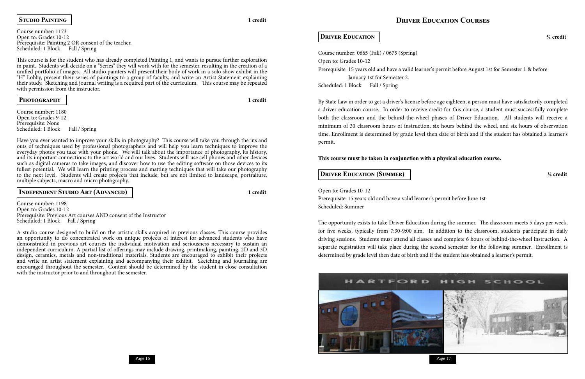### **Driver Education Courses**

Course number: 0665 (Fall) / 0675 (Spring) Open to: Grades 10-12 Prerequisite: 15 years old and have a valid learner's permit before August 1st for Semester 1 & before January 1st for Semester 2. Scheduled: 1 Block Fall / Spring

### **Driver Education ¼ credit**

By State Law in order to get a driver's license before age eighteen, a person must have satisfactorily completed a driver education course. In order to receive credit for this course, a student must successfully complete both the classroom and the behind-the-wheel phases of Driver Education. All students will receive a minimum of 30 classroom hours of instruction, six hours behind the wheel, and six hours of observation time. Enrollment is determined by grade level then date of birth and if the student has obtained a learner's permit.

Course number: 1173 Open to: Grades 10-12 Prerequisite: Painting 2 OR consent of the teacher. Scheduled: 1 Block Fall / Spring

**This course must be taken in conjunction with a physical education course.** 

### **Driver Education (Summer) ¼ credit**

Open to: Grades 10-12 Prerequisite: 15 years old and have a valid learner's permit before June 1st Scheduled: Summer

Course number: 1180 Open to: Grades 9-12 Prerequisite: None Scheduled: 1 Block Fall / Spring

> The opportunity exists to take Driver Education during the summer. The classroom meets 5 days per week, for five weeks, typically from 7:30-9:00 a.m. In addition to the classroom, students participate in daily driving sessions. Students must attend all classes and complete 6 hours of behind-the-wheel instruction. A separate registration will take place during the second semester for the following summer. Enrollment is determined by grade level then date of birth and if the student has obtained a learner's permit.



### **Studio Painting 1 credit**

Course number: 1198 Open to: Grades 10-12 Prerequisite: Previous Art courses AND consent of the Instructor Scheduled: 1 Block Fall / Spring

This course is for the student who has already completed Painting 1, and wants to pursue further exploration in paint. Students will decide on a "Series" they will work with for the semester, resulting in the creation of a unified portfolio of images. All studio painters will present their body of work in a solo show exhibit in the "H" Lobby, present their series of paintings to a group of faculty, and write an Artist Statement explaining their study. Sketching and journal writing is a required part of the curriculum. This course may be repeated with permission from the instructor.

**Photography 1 credit**

Have you ever wanted to improve your skills in photography? This course will take you through the ins and outs of techniques used by professional photographers and will help you learn techniques to improve the everyday photos you take with your phone. We will talk about the importance of photography, its history, and its important connections to the art world and our lives. Students will use cell phones and other devices such as digital cameras to take images, and discover how to use the editing software on those devices to its fullest potential. We will learn the printing process and matting techniques that will take our photography to the next level. Students will create projects that include, but are not limited to landscape, portraiture, multiple subjects, macro and micro photography.

### **Independent Studio Art (Advanced) 1 credit**

A studio course designed to build on the artistic skills acquired in previous classes. This course provides an opportunity to do concentrated work on unique projects of interest for advanced students who have demonstrated in previous art courses the individual motivation and seriousness necessary to sustain an independent curriculum. A partial list of offerings may include drawing, printmaking, painting, 2D and 3D design, ceramics, metals and non-traditional materials. Students are encouraged to exhibit their projects and write an artist statement explaining and accompanying their exhibit. Sketching and journaling are encouraged throughout the semester. Content should be determined by the student in close consultation with the instructor prior to and throughout the semester.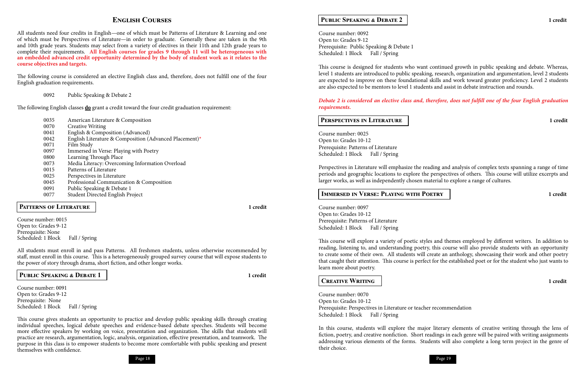### **English Courses**

All students need four credits in English—one of which must be Patterns of Literature & Learning and one of which must be Perspectives of Literature—in order to graduate. Generally these are taken in the 9th and 10th grade years. Students may select from a variety of electives in their 11th and 12th grade years to complete their requirements. **All English courses for grades 9 through 11 will be heterogeneous with an embedded advanced credit opportunity determined by the body of student work as it relates to the course objectives and targets.** 

The following course is considered an elective English class and, therefore, does not fulfill one of the four English graduation requirements.

Course number: 0015 Open to: Grades 9-12 Prerequisite: None Scheduled: 1 Block Fall / Spring

### 0092 Public Speaking & Debate 2

The following English classes **do** grant a credit toward the four credit graduation requirement:

Course number: 0091 Open to: Grades 9-12 Prerequisite: None Scheduled: 1 Block Fall / Spring

| 0035  | American Literature & Composition                                                                                                                                                                                                 |
|-------|-----------------------------------------------------------------------------------------------------------------------------------------------------------------------------------------------------------------------------------|
| 0070  | <b>Creative Writing</b>                                                                                                                                                                                                           |
| 0041  | English & Composition (Advanced)                                                                                                                                                                                                  |
| 0042  | English Literature & Composition (Advanced Placement)*                                                                                                                                                                            |
| 0071  | Film Study                                                                                                                                                                                                                        |
| 0097  | Immersed in Verse: Playing with Poetry                                                                                                                                                                                            |
| 0800  | Learning Through Place                                                                                                                                                                                                            |
| 0073  | Media Literacy: Overcoming Information Overload                                                                                                                                                                                   |
| 0015  | Patterns of Literature                                                                                                                                                                                                            |
| 0.025 | $\mathbf{D}$ . In the set of the set of the set of the set of the set of the set of the set of the set of the set of the set of the set of the set of the set of the set of the set of the set of the set of the set of the set o |

Course number: 0092 Open to: Grades 9-12 Prerequisite: Public Speaking & Debate 1 Scheduled: 1 Block Fall / Spring

- 0025 Perspectives in Literature
- 0045 Professional Communication & Composition
- 0091 Public Speaking & Debate 1
- 0077 Student Directed English Project

### $\overline{a}$ **PATTERNS OF LITERATURE 1** credit

Course number: 0025 Open to: Grades 10-12 Prerequisite: Patterns of Literature Scheduled: 1 Block Fall / Spring

All students must enroll in and pass Patterns. All freshmen students, unless otherwise recommended by staff, must enroll in this course. This is a heterogeneously grouped survey course that will expose students to the power of story through drama, short fiction, and other longer works.

### **Public Speaking & Debate 1 1 credit**

Course number: 0097 Open to: Grades 10-12 Prerequisite: Patterns of Literature Scheduled: 1 Block Fall / Spring

Course number: 0070 Open to: Grades 10-12 Prerequisite: Perspectives in Literature or teacher recommendation Scheduled: 1 Block Fall / Spring

This course gives students an opportunity to practice and develop public speaking skills through creating individual speeches, logical debate speeches and evidence-based debate speeches. Students will become more effective speakers by working on voice, presentation and organization. The skills that students will practice are research, argumentation, logic, analysis, organization, effective presentation, and teamwork. The purpose in this class is to empower students to become more comfortable with public speaking and present themselves with confidence.



### **Public Speaking & Debate 2 1 credit**

This course is designed for students who want continued growth in public speaking and debate. Whereas, level 1 students are introduced to public speaking, research, organization and argumentation, level 2 students are expected to improve on these foundational skills and work toward greater proficiency. Level 2 students are also expected to be mentors to level 1 students and assist in debate instruction and rounds.

*Debate 2 is considered an elective class and, therefore, does not fulfill one of the four English graduation* 

# *requirements.*

### **Perspectives in Literature 1 credit**

Perspectives in Literature will emphasize the reading and analysis of complex texts spanning a range of time periods and geographic locations to explore the perspectives of others. This course will utilize excerpts and larger works, as well as independently chosen material to explore a range of cultures.

### **Immersed in Verse: Playing with Poetry 1 credit**

This course will explore a variety of poetic styles and themes employed by different writers. In addition to reading, listening to, and understanding poetry, this course will also provide students with an opportunity to create some of their own. All students will create an anthology, showcasing their work and other poetry that caught their attention. This course is perfect for the established poet or for the student who just wants to learn more about poetry.

### **Creative Writing 1 credit**

In this course, students will explore the major literary elements of creative writing through the lens of fiction, poetry, and creative nonfiction. Short readings in each genre will be paired with writing assignments addressing various elements of the forms. Students will also complete a long term project in the genre of their choice.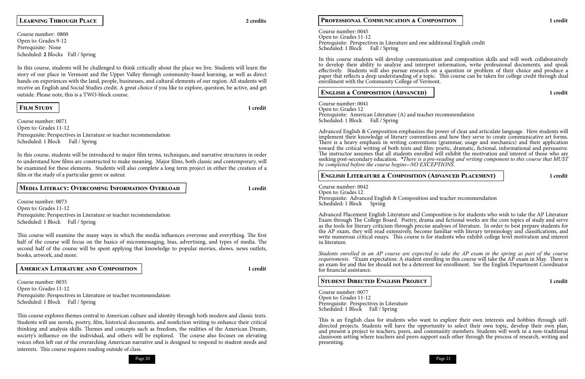### **Learning Through Place 2 credits**

Course number: 0800 Open to: Grades 9-12 Prerequisite: None Scheduled: **2** Blocks Fall / Spring

Course number: 0071 Open to: Grades 11-12 Prerequisite: Perspectives in Literature or teacher recommendation Scheduled: 1 Block Fall / Spring

In this course, students will be challenged to think critically about the place we live. Students will learn the story of our place in Vermont and the Upper Valley through community-based learning, as well as direct hands-on experiences with the land, people, businesses, and cultural elements of our region. All students will receive an English and Social Studies credit. A great choice if you like to explore, question, be active, and get outside. Please note, this is a TWO-block course.

Course number: 0073 Open to: Grades 11-12 Prerequisite: Perspectives in Literature or teacher recommendation Scheduled: 1 Block Fall / Spring

### **Film Study 1 credit**

Course number: 0035 Open to: Grades 11-12 Prerequisite: Perspectives in Literature or teacher recommendation Scheduled: 1 Block Fall / Spring

In this course, students will be introduced to major film terms, techniques, and narrative structures in order to understand how films are constructed to make meaning. Major films, both classic and contemporary, will be examined for these elements. Students will also complete a long term project in either the creation of a film or the study of a particular genre or auteur.

### **Media Literacy: Overcoming Information Overload 1 credit**

Course number: 0045 Open to: Grades 11-12 Prerequisite: Perspectives in Literature and one additional English credit Scheduled: 1 Block Fall / Spring

This course will examine the many ways in which the media influences everyone and everything. The first half of the course will focus on the basics of micromessaging, bias, advertising, and types of media. The second half of the course will be spent applying that knowledge to popular movies, shows, news outlets, books, artwork, and more.

Course number: 0041 Open to: Grades 12 Prerequisite: American Literature (A) and teacher recommendation Scheduled: 1 Block Fall / Spring

**American Literature and Composition 1 credit**

Course number: 0042 Open to: Grades 12 Prerequisite: Advanced English & Composition and teacher recommendation Scheduled: 1 Block Spring

This course explores themes central to American culture and identity through both modern and classic texts. Students will use novels, poetry, film, historical documents, and nonfiction writing to enhance their critical thinking and analysis skills. Themes and concepts such as freedom, the realities of the American Dream, society's influence on the individual, and others will be explored. The course also focuses on elevating voices often left out of the overarching American narrative and is designed to respond to student needs and interests. This course requires reading outside of class.

### **Professional Communication & Composition 1 credit**

*Students enrolled in an AP course are expected to take the AP exam in the spring as part of the course requirements.* \*Exam expectation: A student enrolling in this course will take the AP exam in May. There is an exam fee and this fee should not be a deterrent for enrollment. See the English Department Coordinator for financial assistance.

Course number: 0077 Open to: Grades 11-12 Prerequisite: Perspectives in Literature Scheduled: 1 Block Fall / Spring

In this course students will develop communication and composition skills and will work collaboratively to develop their ability to analyze and interpret information, write professional documents, and speak effectively. Students will also pursue research on a question or problem of their choice and produce a paper that reflects a deep understanding of a topic. This course can be taken for college credit through dual enrollment with the Community College of Vermont.

### **ENGLISH & COMPOSITION (ADVANCED) 1** credit

Advanced English & Composition emphasizes the power of clear and articulate language. Here students will implement their knowledge of literary conventions and how they serve to create communicative art forms. There is a heavy emphasis in writing conventions (grammar, usage and mechanics) and their application toward the critical writing of both texts and film: poetic, dramatic, fictional, informational and persuasive. The instructor assumes that all students enrolled will exhibit the motivation and interest of those who are seeking post-secondary education. *\*There is a pre-reading and writing component to this course that MUST be completed before the course begins--NO EXCEPTIONS.*

### **English Literature & Composition (Advanced Placement) 1 credit**

Advanced Placement English Literature and Composition is for students who wish to take the AP Literature Exam through The College Board. Poetry, drama and fictional works are the core topics of study and serve as the tools for literary criticism through precise analyses of literature. In order to best prepare students for the AP exam, they will read extensively, become familiar with literary terminology and classifications, and write numerous critical essays. This course is for students who exhibit college level motivation and interest in literature.

### **Student Directed English Project 1 credit**

This is an English class for students who want to explore their own interests and hobbies through selfdirected projects. Students will have the opportunity to select their own topic, develop their own plan, and present a project to teachers, peers, and community members. Students will work in a non-traditional classroom setting where teachers and peers support each other through the process of research, writing and presenting.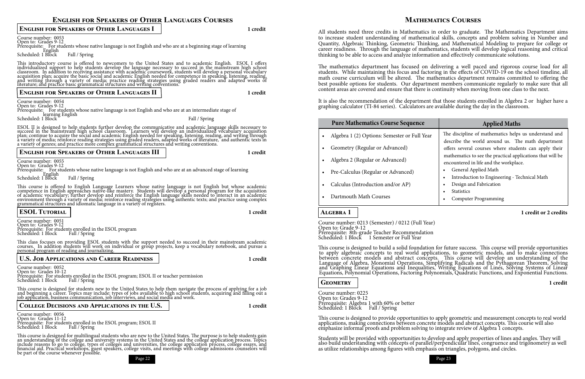Page 22 Page 23

### **English for Speakers of Other Languages Courses**

### Course number: 0053 Open to: Grades 9-12 Prerequisite: For students whose native language is not English and who are at a beginning stage of learning English<br>Scheduled: 1 Block Fall / Spring

### **English for Speakers of Other Languages I 1 credit**

This introductory course is offered to newcomers to the United States and to academic English. ESOL I offers individualized support to help students develop the language necessary to succeed in the mainstream high school classroom. In addition to receiving assistance with academic coursework, students will develop a personal vocabulary acquisition plan; acquire the basic social and academic English needed for competence in speaking, listening, reading, and writing through a variety of media; practice reading strategies using graded readers and adapted works of literature; and practice basic grammatical structures and writing conventions.

### **English for Speakers of Other Languages II 1 credit**

Course number: 0054 Open to: Grades 9-12

Prerequisite: For students whose native language is not English and who are at an intermediate stage of learning English Scheduled: 1 Block Fall / Spring Fall / Spring

ESOL II is designed to help students further develop the communicative and academic language skills necessary to succeed in the mainstream high school classroom. Learners will develop an individualized vocabulary acquisition plan; continue to acquire the social and academic English needed for speaking, listening, reading, and writing through a variety of media; reinforce reading strategies using graded readers, adapted works of literature, and authentic texts in a variety of genres; and practice more complex grammatical structures and writing conventions.

### **English for Speakers of Other Languages III 1 credit**

Course number: 0055 Open to: Grades 9-12

Prerequisite: For students whose native language is not English and who are at an advanced stage of learning<br>
Scheduled: 1 Block Fall / Spring

This course is offered to English Language Learners whose native language is not English but whose academic competence in English approaches native-like mastery. Students will develop a personal program for the acquisition

### of academic vocabulary; further develop and reinforce the English language skills needed to interact in an academic environment through a variety of media; reinforce reading strategies using authentic texts; and practice using complex grammatical structures and idiomatic language in a variety of registers. **ESOL Tutorial 1 credit**

Course number: 0051 Open to: Grades 9-12 Prerequisite: For students enrolled in the ESOL program Scheduled: 1 Block Fall / Spring

This class focuses on providing ESOL students with the support needed to succeed in their mainstream academic courses. In addition students will work on individual or group projects, keep a vocabulary notebook, and pursue a personal program of reading and journalizing.

### **U.S. Job Applications and Career Readiness 1 credit**

Course number: 0052 Open to: Grades 10-12

- Algebra 1 (2) Options: Semester or Full Year
- Geometry (Regular or Advanced)
- Algebra 2 (Regular or Advanced)
- Pre-Calculus (Regular or Advanced)
- Calculus (Introduction and/or AP)
- Dartmouth Math Courses

Prerequisite: For students enrolled in the ESOL program; ESOL II or teacher permission Scheduled: 1 Block Fall / Spring

This course is designed for students new to the United States to help them navigate the process of applying for a job and beginning a career. Topics may include: types of jobs available to high school students, acquiring and filling out a job application, business communication, job interviews, and social media and work.

Course number: 0225 Open to: Grades 9-12 Prerequisite: Algebra 1 with 60% or better Scheduled: 1 Block Fall / Spring

### **College Decisions and Applications in the U.S. 1 credit**

Course number: 0056 Open to: Grades 11-12 Prerequisite: For students enrolled in the ESOL program; ESOL II Scheduled: 1 Block Fall / Spring

This course is designed for multilingual students who are new to the United States. The purpose is to help students gain an understanding of the college and university systems in the United States and the college application process. Topics include reasons to go to college, types of colleges and universities, the college application process, college essays, and financial aid. Practical workshops, guest speakers, college visits, and meetings with college admissions counselors will be part of the course whenever possible.



|   | <b>Applied Maths</b>                                                                                       |  |  |  |  |  |  |
|---|------------------------------------------------------------------------------------------------------------|--|--|--|--|--|--|
| r | The discipline of mathematics helps us understand and<br>describe the world around us. The math department |  |  |  |  |  |  |
|   | offers several courses where students can apply their                                                      |  |  |  |  |  |  |
|   | mathematics to see the practical applications that will be                                                 |  |  |  |  |  |  |
|   | encountered in life and the workplace.                                                                     |  |  |  |  |  |  |
|   | General Applied Math                                                                                       |  |  |  |  |  |  |
|   | Introduction to Engineering - Technical Math<br>$\bullet$                                                  |  |  |  |  |  |  |
|   | Design and Fabrication                                                                                     |  |  |  |  |  |  |
|   | <b>Statistics</b>                                                                                          |  |  |  |  |  |  |
|   | <b>Computer Programming</b>                                                                                |  |  |  |  |  |  |

### **Mathematics Courses**

All students need three credits in Mathematics in order to graduate. The Mathematics Department aims to increase student understanding of mathematical skills, concepts and problem solving in Number and Quantity, Algebraic Thinking, Geometric Thinking, and Mathematical Modeling to prepare for college or career readiness. Through the language of mathematics, students will develop logical reasoning and critical thinking to be able to access and analyze information and effectively communicate solutions.

The mathematics department has focused on delivering a well paced and rigorous course load for all students. While maintaining this focus and factoring in the effects of COVID-19 on the school timeline, all math course curriculum will be altered. The mathematics department remains committed to offering the best possible options for students. Our department members communicate regularly to make sure that all content areas are covered and ensure that there is continuity when moving from one class to the next.

It is also the recommendation of the department that those students enrolled in Algebra 2 or higher have a graphing calculator (TI-84 series). Calculators are available during the day in the classroom.

### **Pure Mathematics Course Sequence**

### **Algebra 1 1 credit or 2 credits**

Course number: 0213 (Semester) / 0212 (Full Year) Open to: Grade 9-12

Prerequisite: 8th-grade Teacher Recommendation Scheduled: 1 Block 1 Semester or Full Year

This course is designed to build a solid foundation for future success. This course will provide opportunities to apply algebraic concepts to real world applications, to geometric models, and to make connections between concrete models and abstract concepts. This course will develop an understanding of the Language of Algebra, Monomial Operations, Simplifying Radicals and the Pythagorean Theorem, Solving and Graphing Linear Equations and Inequalities, Writing Equations of Lines, Solving Systems of Linear Equations, Polynomial Operations, Factoring Polynomials, Quadratic Functions, and Exponential Functions.

### **Geometry 1 credit**

This course is designed to provide opportunities to apply geometric and measurement concepts to real world applications, making connections between concrete models and abstract concepts. This course will also emphasize informal proofs and problem solving to integrate review of Algebra 1 concepts.

Students will be provided with opportunities to develop and apply properties of lines and angles. They will also build understanding with concepts of parallel/perpendicular lines, congruence and trigonometry as well as utilize relationships among figures with emphasis on triangles, polygons, and circles.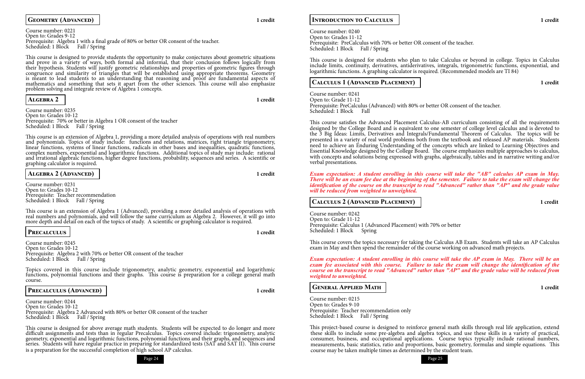

### **GEOMETRY (ADVANCED) 1** credit

Course number: 0221 Open to: Grades 9-12 Prerequisite: Algebra 1 with a final grade of 80% or better OR consent of the teacher. Scheduled: 1 Block Fall / Spring

Course number: 0235 Open to: Grades 10-12 Prerequisite: 70% or better in Algebra 1 OR consent of the teacher Scheduled: 1 Block Fall / Spring

This course is designed to provide students the opportunity to make conjectures about geometric situations and prove in a variety of ways, both formal and informal, that their conclusion follows logically from their hypothesis. Students will justify geometric relationships and properties of geometric figures through congruence and similarity of triangles that will be established using appropriate theorems. Geometry is meant to lead students to an understanding that reasoning and proof are fundamental aspects of mathematics and something that sets it apart from the other sciences. This course will also emphasize problem solving and integrate review of Algebra 1 concepts.

Course number: 0231 Open to: Grades 10-12 Prerequisite: Teacher recommendation Scheduled: 1 Block Fall / Spring

This course is an extension of Algebra 1 (Advanced), providing a more detailed analysis of operations with real numbers and polynomials, and will follow the same curriculum as Algebra 2. However, it will go into more depth and detail on each of the topics of study. A scientific or graphing calculator is required.

### **Algebra 2 1 credit**

Course number: 0245 Open to: Grades 10-12 Prerequisite: Algebra 2 with 70% or better OR consent of the teacher Scheduled: 1 Block Fall / Spring

Course number: 0244 Open to: Grades 10-12 Prerequisite: Algebra 2 Advanced with 80% or better OR consent of the teacher Scheduled: 1 Block Fall / Spring

This course is an extension of Algebra 1, providing a more detailed analysis of operations with real numbers and polynomials. Topics of study include: functions and relations, matrices, right triangle trigonometry, linear functions, systems of linear functions, radicals in other bases and inequalities, quadratic functions, complex numbers, exponential and logarithmic functions. Additional topics of study may include: rational and irrational algebraic functions, higher degree functions, probability, sequences and series. A scientific or graphing calculator is required.

**ALGEBRA 2 (ADVANCED) 1** credit

Course number: 0240 Open to: Grades 11-12 Prerequisite: PreCalculus with 70% or better OR consent of the teacher. Scheduled: 1 Block Fall / Spring

Course number: 0241 Open to: Grade 11-12 Prerequisite: PreCalculus (Advanced) with 80% or better OR consent of the teacher. Scheduled: 1 Block Fall

### **Precalculus 1 credit**

Topics covered in this course include trigonometry, analytic geometry, exponential and logarithmic functions, polynomial functions and their graphs. This course is preparation for a college general math course.

### PRECALCULUS (ADVANCED) | 1 credit

Course number: 0242 Open to: Grade 11-12 Prerequisite: Calculus 1 (Advanced Placement) with 70% or better Scheduled: 1 Block Spring

Course number: 0215 Open to: Grades 9-10 Prerequisite: Teacher recommendation only Scheduled: 1 Block Fall / Spring

This course is designed for above average math students. Students will be expected to do longer and more difficult assignments and tests than in regular Precalculus. Topics covered include: trigonometry, analytic geometry, exponential and logarithmic functions, polynomial functions and their graphs, and sequences and series. Students will have regular practice in preparing for standardized tests (SAT and SAT II). This course is a preparation for the successful completion of high school AP calculus.

### **Introduction to Calculus 1 credit**

This course is designed for students who plan to take Calculus or beyond in college. Topics in Calculus include limits, continuity, derivatives, antiderivatives, integrals, trigonometric functions, exponential, and logarithmic functions. A graphing calculator is required. (Recommended models are TI 84)

### **Calculus 1 (Advanced Placement) 1 credit**

This course satisfies the Advanced Placement Calculus-AB curriculum consisting of all the requirements designed by the College Board and is equivalent to one semester of college level calculus and is devoted to the 3 Big Ideas: Limits, Derivatives and Integrals/Fundamental Theorem of Calculus. The topics will be presented in a variety of real world problems both from the textbook and released AP materials. Students need to achieve an Enduring Understanding of the concepts which are linked to Learning Objectives and Essential Knowledge designed by the College Board. The course emphasizes multiple approaches to calculus, with concepts and solutions being expressed with graphs, algebraically, tables and in narrative writing and/or verbal presentations.

### *Exam expectation: A student enrolling in this course will take the "AB" calculus AP exam in May. There will be an exam fee due at the beginning of the semester. Failure to take the exam will change the identification of the course on the transcript to read "Advanced" rather than "AP" and the grade value*

*will be reduced from weighted to unweighted.*

### **Calculus 2 (Advanced Placement) 1 credit**

This course covers the topics necessary for taking the Calculus AB Exam. Students will take an AP Calculus exam in May and then spend the remainder of the course working on advanced math projects.

*Exam expectation: A student enrolling in this course will take the AP exam in May. There will be an exam fee associated with this course. Failure to take the exam will change the identification of the course on the transcript to read "Advanced" rather than "AP" and the grade value will be reduced from weighted to unweighted.*

### **General Applied Math 1 credit**

This project-based course is designed to reinforce general math skills through real life application, extend these skills to include some pre-algebra and algebra topics, and use these skills in a variety of practical, consumer, business, and occupational applications. Course topics typically include rational numbers, measurements, basic statistics, ratio and proportions, basic geometry, formulas and simple equations. This course may be taken multiple times as determined by the student team.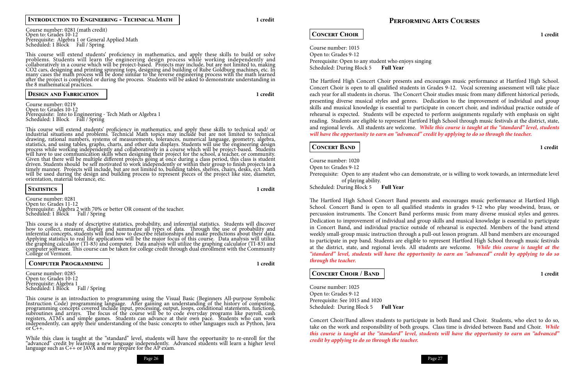

Course number: 0281 (math credit) Open to: Grades 10-12 Prerequisite: Algebra 1 or General Applied Math Scheduled: 1 Block Fall / Spring

### **Introduction to Engineering - Technical Math 1 credit**

This course will extend students' proficiency in mathematics, and apply these skills to build or solve problems. Students will learn the engineering design process while working independently and collaboratively in a course which will be project-based. Projects may include, but are not limited to, making CO2 cars, designing and printing spinning tops, designing and building of Rube Goldburg machines, etc. In many cases the math process will be done similar to the reverse engineering process with the math learned after the project is completed or during the process. Students will be asked to demonstrate understanding in the 8 mathematical practices.

### **Design and Fabrication 1 credit**

Course number: 0219 Open to: Grades 10-12 Prerequisite: Into to Engineering - Tech Math or Algebra 1 Scheduled: 1 Block Fall / Spring

Course number: 0281 Open to: Grades 11-12 Prerequisite: Algebra 2 with 70% or better OR consent of the teacher. Scheduled: 1 Block Fall / Spring

This course is an introduction to programming using the Visual Basic (Beginners All-purpose Symbolic Instruction Code) programming language. After gaining an understanding of the history of computing, programming concepts covered include input, processing, output, loops, conditional statements, functions, subroutines and arrays. The focus of the course will be to code everyday programs like payroll, cash registers, ATM's and simple games. Students can advance at their own pace. Students who can work independently, can apply their understanding of the basic concepts to other languages such as Python, Java or  $C_{++}$ .

This course will extend students' proficiency in mathematics, and apply these skills to technical and/ or industrial situations and problems. Technical Math topics may include but are not limited to technical drawing, rational numbers, systems of measurements, tolerances, numerical language, geometry, algebra, statistics, and using tables, graphs, charts, and other data displays. Students will use the engineering design process while working independently and collaboratively in a course which will be project-based. Students will have to use communication skills when designing their project for the school, a teacher, or community. Given that there will be multiple different projects going at once during a class period, this class is student driven. Students should be self motivated to work independently or within their group to finish projects in a timely manner. Projects will include, but are not limited to, building tables, shelves, chairs, desks, ect. Math will be used during the design and building process to represent pieces of the project like size, diameter, orientation, material tolerance, etc.

### **Statistics 1 credit**

This course is a study of descriptive statistics, probability, and inferential statistics. Students will discover how to collect, measure, display and summarize all types of data. Through the use of probability and inferential concepts, students will find how to describe relationships and make predictions about their data. Applying statistics to real life applications will be the major focus of this course. Data analysis will utilize the graphing calculator (TI-83) and computer. Data analysis will utilize the graphing calculator (TI-83) and computer software. This course can be taken for college credit through dual enrollment with the Community College of Vermont.

### **Computer Programming 1 credit**

Course number: 0285 Open to: Grades 10-12 Prerequisite: Algebra 1 Scheduled: 1 Block Fall / Spring

While this class is taught at the "standard" level, students will have the opportunity to re-enroll for the "advanced" credit by learning a new language independently. Advanced students will learn a higher level language such as C++ or JAVA and may prepare for the AP exam.

### **Performing Arts Courses**

### **Concert Choir 1 credit**

Course number: 1015 Open to: Grades 9-12 Prerequisite: Open to any student who enjoys singing Scheduled: During Block 5 **Full Year**

The Hartford High Concert Choir presents and encourages music performance at Hartford High School. Concert Choir is open to all qualified students in Grades 9-12. Vocal screening assessment will take place each year for all students in chorus. The Concert Choir studies music from many different historical periods, presenting diverse musical styles and genres. Dedication to the improvement of individual and group skills and musical knowledge is essential to participate in concert choir, and individual practice outside of rehearsal is expected. Students will be expected to perform assignments regularly with emphasis on sight reading. Students are eligible to represent Hartford High School through music festivals at the district, state, and regional levels. All students are welcome. *While this course is taught at the "standard" level, students will have the opportunity to earn an "advanced" credit by applying to do so through the teacher.*

### **Concert Band 1 credit**

Course number: 1020 Open to: Grades 9-12 Prerequisite: Open to any student who can demonstrate, or is willing to work towards, an intermediate level of playing ability. Scheduled: During Block 5 **Full Year**

The Hartford High School Concert Band presents and encourages music performance at Hartford High School. Concert Band is open to all qualified students in grades 9-12 who play woodwind, brass, or percussion instruments. The Concert Band performs music from many diverse musical styles and genres. Dedication to improvement of individual and group skills and musical knowledge is essential to participate in Concert Band, and individual practice outside of rehearsal is expected. Members of the band attend weekly small-group music instruction through a pull-out lesson program. All band members are encouraged to participate in pep band. Students are eligible to represent Hartford High School through music festivals at the district, state, and regional levels. All students are welcome. *While this course is taught at the "standard" level, students will have the opportunity to earn an "advanced" credit by applying to do so through the teacher.*

### **Concert Choir / Band 1 credit**

Course number: 1025 Open to: Grades 9-12 Prerequisite: See 1015 and 1020 Scheduled: During Block 5 **Full Year**

Concert Choir/Band allows students to participate in both Band and Choir. Students, who elect to do so, take on the work and responsibility of both groups. Class time is divided between Band and Choir. *While this course is taught at the "standard" level, students will have the opportunity to earn an "advanced" credit by applying to do so through the teacher.*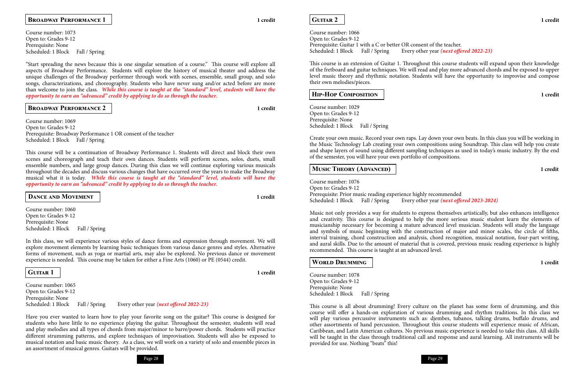### **Guitar 2 1 credit**

Course number: 1066 Open to: Grades 9-12 Prerequisite: Guitar 1 with a C or better OR consent of the teacher. Scheduled: 1 Block Fall / Spring Every other year *(next offered 2022-23)* 

Course number: 1029 Open to: Grades 9-12 Prerequisite: None Scheduled: 1 Block Fall / Spring

This course is an extension of Guitar 1. Throughout this course students will expand upon their knowledge of the fretboard and guitar techniques. We will read and play more advanced chords and be exposed to upper level music theory and rhythmic notation. Students will have the opportunity to improvise and compose their own melodies/pieces.

Course number: 1076 Open to: Grades 9-12 Prerequisite: Prior music reading experience highly recommended<br>Scheduled: 1 Block Fall / Spring Every other year (next offer Every other year *(next offered 2023-2024)* 

### **Hip-Hop Composition 1 credit**

Create your own music. Record your own raps. Lay down your own beats. In this class you will be working in the Music Technology Lab creating your own compositions using Soundtrap. This class will help you create and shape layers of sound using different sampling techniques as used in today's music industry. By the end of the semester, you will have your own portfolio of compositions.

### **MUSIC THEORY (ADVANCED) 1** credit

Course number: 1078 Open to: Grades 9-12 Prerequisite: None Scheduled: 1 Block Fall / Spring

This course is all about drumming! Every culture on the planet has some form of drumming, and this course will offer a hands-on exploration of various drumming and rhythm traditions. In this class we will play various percussive instruments such as: djembes, tubanos, talking drums, buffalo drums, and other assortments of hand percussion. Throughout this course students will experience music of African, Caribbean, and Latin American cultures. No previous music experience is needed to take this class. All skills will be taught in the class through traditional call and response and aural learning. All instruments will be provided for use. Nothing "beats" this!

Course number: 1073 Open to: Grades 9-12 Prerequisite: None Scheduled: 1 Block Fall / Spring

> Music not only provides a way for students to express themselves artistically, but also enhances intelligence and creativity. This course is designed to help the more serious music student learn the elements of musicianship necessary for becoming a mature advanced level musician. Students will study the language and symbols of music beginning with the construction of major and minor scales, the circle of fifths, interval training, chord construction and analysis, chord recognition, musical notation, four-part writing, and aural skills. Due to the amount of material that is covered, previous music reading experience is highly recommended. This course is taught at an advanced level.

### **WORLD DRUMMING 1** credit

Course number: 1069 Open to: Grades 9-12 Prerequisite: Broadway Performance 1 OR consent of the teacher Scheduled: 1 Block Fall / Spring

Course number: 1060 Open to: Grades 9-12 Prerequisite: None Scheduled: 1 Block Fall / Spring

### **Broadway Performance 1 1 credit**

"Start spreading the news because this is one singular sensation of a course." This course will explore all aspects of Broadway Performance. Students will explore the history of musical theater and address the unique challenges of the Broadway performer through work with scenes, ensemble, small group, and solo songs, characterizations, and choreography. Students who have never sung and/or acted before are more than welcome to join the class. *While this course is taught at the "standard" level, students will have the opportunity to earn an "advanced" credit by applying to do so through the teacher.*

### **Broadway Performance 2 1 credit**

This course will be a continuation of Broadway Performance 1. Students will direct and block their own scenes and choreograph and teach their own dances. Students will perform scenes, solos, duets, small ensemble numbers, and large group dances. During this class we will continue exploring various musicals throughout the decades and discuss various changes that have occurred over the years to make the Broadway musical what it is today. *While this course is taught at the "standard" level, students will have the opportunity to earn an "advanced" credit by applying to do so through the teacher.*

### **DANCE AND MOVEMENT 1** credit

In this class, we will experience various styles of dance forms and expression through movement. We will explore movement elements by learning basic techniques from various dance genres and styles. Alternative forms of movement, such as yoga or martial arts, may also be explored. No previous dance or movement experience is needed. This course may be taken for either a Fine Arts (1060) or PE (0544) credit.

### **Guitar 1 1 credit**

Course number: 1065 Open to: Grades 9-12 Prerequisite: None Scheduled: 1 Block Fall / Spring Every other year *(next offered 2022-23)*

Have you ever wanted to learn how to play your favorite song on the guitar? This course is designed for students who have little to no experience playing the guitar. Throughout the semester, students will read and play melodies and all types of chords from major/minor to barre/power chords. Students will practice different strumming patterns, and explore techniques of improvisation. Students will also be exposed to musical notation and basic music theory. As a class, we will work on a variety of solo and ensemble pieces in an assortment of musical genres. Guitars will be provided.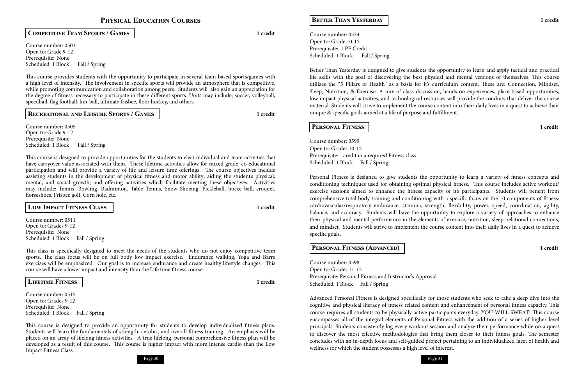### **Physical Education Courses**

Course number: 0501 Open to: Grade 9-12 Prerequisite: None Scheduled: 1 Block Fall / Spring

**Competitive Team Sports / Games 1 credit**

Course number: 0505 Open to: Grade 9-12 Prerequisite: None Scheduled: 1 Block Fall / Spring

This course provides students with the opportunity to participate in several team-based sports/games with a high level of intensity. The involvement in specific sports will provide an atmosphere that is competitive, while promoting communication and collaboration among peers. Students will also gain an appreciation for the degree of fitness necessary to participate in these different sports. Units may include; soccer, volleyball, speedball, flag football, kin-ball, ultimate frisbee, floor hockey, and others.

### **Recreational and Leisure Sports / Games 1 credit**

Course number: 0511 Open to: Grades 9-12 Prerequisite: None Scheduled: 1 Block Fall / Spring

Course number: 0515 Open to: Grades 9-12 Prerequisite: None Scheduled: 1 Block Fall / Spring

This course is designed to provide opportunities for the students to elect individual and team activities that have carryover value associated with them. These lifetime activities allow for mixed grade, co-educational participation and will provide a variety of life and leisure time offerings. The course objectives include assisting students in the development of physical fitness and motor ability; aiding the student's physical, mental, and social growth; and offering activities which facilitate meeting these objectives. Activities may include: Tennis, Bowling, Badminton, Table Tennis, Snow Shoeing, Pickleball, bocce ball, croquet, horseshoes, Frisbee golf, Corn hole, etc.

Course number: 0534 Open to: Grade 10-12 Prerequisite: 1 PE Credit Scheduled: 1 Block Fall / Spring

**Low Impact Fitness Class 1 credit**

Course number: 0599 Open to: Grades 10-12 Prerequisite: 1 credit in a required Fitness class. Scheduled: 1 Block Fall / Spring

This class is specifically designed to meet the needs of the students who do not enjoy competitive team sports. The class focus will be on full body low impact exercise. Endurance walking, Yoga and Barre exercises will be emphasized. Our goal is to increase endurance and create healthy lifestyle changes. This course will have a lower impact and intensity than the Life time fitness course.

### **Lifetime Fitness 1 credit**

Course number: 0598 Open to: Grades 11-12 Prerequisite: Personal Fitness and Instructor's Approval Scheduled: 1 Block Fall / Spring

This course is designed to provide an opportunity for students to develop individualized fitness plans. Students will learn the fundamentals of strength, aerobic, and overall fitness training. An emphasis will be placed on an array of lifelong fitness activities. A true lifelong, personal comprehensive fitness plan will be developed as a result of this course. This course is higher impact with more intense cardio than the Low Impact Fitness Class.

**Better Than Yesterday 1 credit**

Better Than Yesterday is designed to give students the opportunity to learn and apply tactical and practical life skills with the goal of discovering the best physical and mental versions of themselves. This course utilizes the "5 Pillars of Health" as a basis for it's curriculum content. These are: Connection, Mindset, Sleep, Nutrition, & Exercise. A mix of class discussion, hands-on experiences, place-based opportunities, low impact physical activities, and technological resources will provide the conduits that deliver the course material. Students will strive to implement the course content into their daily lives in a quest to achieve their unique & specific goals aimed at a life of purpose and fulfillment.

### **Personal Fitness 1 credit**

Personal Fitness is designed to give students the opportunity to learn a variety of fitness concepts and conditioning techniques used for obtaining optimal physical fitness. This course includes active workout/ exercise sessions aimed to enhance the fitness capacity of it's participants. Students will benefit from comprehensive total body training and conditioning with a specific focus on the 10 components of fitness: cardiovascular/respiratory endurance, stamina, strength, flexibility, power, speed, coordination, agility, balance, and accuracy. Students will have the opportunity to explore a variety of approaches to enhance their physical and mental performance in the elements of exercise, nutrition, sleep, relational connections, and mindset. Students will strive to implement the course content into their daily lives in a quest to achieve specific goals.

### **Personal Fitness (Advanced) 1 credit**

Advanced Personal Fitness is designed specifically for those students who seek to take a deep dive into the cognitive and physical literacy of fitness related content and enhancement of personal fitness capacity. This course requires all students to be physically active participants everyday. YOU WILL SWEAT! This course encompasses all of the integral elements of Personal Fitness with the addition of a series of higher level principals. Students consistently log every workout session and analyze their performance while on a quest to discover the most effective methodologies that bring them closer to their fitness goals. The semester concludes with an in-depth focus and self-guided project pertaining to an individualized facet of health and wellness for which the student possesses a high level of interest.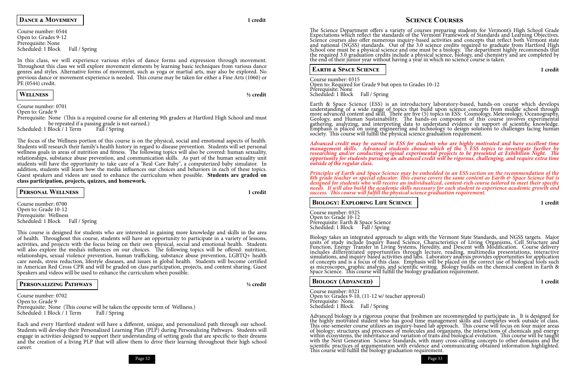

### **DANCE & MOVEMENT 1**

Course number: 0544 Open to: Grades 9-12 Prerequisite: None Scheduled: 1 Block Fall / Spring

In this class, we will experience various styles of dance forms and expression through movement. Throughout this class we will explore movement elements by learning basic techniques from various dance genres and styles. Alternative forms of movement, such as yoga or martial arts, may also be explored. No previous dance or movement experience is needed. This course may be taken for either a Fine Arts (1060) or PE (0544) credit.

**Wellness ½ credit**

### Course number: 0701 Open to: Grade 9 Prerequisite: None (This is a required course for all entering 9th graders at Hartford High School and must

be repeated if a passing grade is not earned.)<br>Block / 1 Term Fall / Spring Scheduled: 1 Block / 1 Term

Course number: 0700 Open to: Grade 10-12 Prerequisite: Wellness Scheduled: 1 Block Fall / Spring

The focus of the Wellness portion of this course is on the physical, social and emotional aspects of health. Students will research their family's health history in regard to disease prevention. Students will set personal wellness goals in areas of nutrition and fitness. The following topics will also be covered: human sexuality, relationships, substance abuse prevention, and communication skills. As part of the human sexuality unit students will have the opportunity to take care of a "Real Care Baby", a computerized baby simulator. In addition, students will learn how the media influences our choices and behaviors in each of these topics. Guest speakers and videos are used to enhance the curriculum when possible. **Students are graded on class participation, projects, quizzes, and homework.**

Course number: 0702 Open to: Grade 9 Prerequisite: None (This course will be taken the opposite term of Wellness.) Scheduled: 1 Block / 1 Term Fall / Spring

The Science Department offers a variety of courses preparing students for Vermont's High School Grade Expectations which reflect the standards of the Vermont Framework of Standards and Learning Objectives. Science courses also offer numerous inquiry-based activities and concepts that reflect both Vermont state and national (NGSS) standards. Out of the 3.0 science credits required to graduate from Hartford High School one must be a physical science and one must be a biology. The department highly recommends that the required 3.0 graduation credits include a physical science, biology, and chemistry and are completed by the end of their junior year without having a year in which no science course is taken.

**Personal Wellness 1 credit**

This course is designed for students who are interested in gaining more knowledge and skills in the area of health. Throughout this course, students will have an opportunity to participate in a variety of lessons, activities, and projects with the focus being on their own physical, social and emotional health. Students will also explore the media's influences on our choices. The following topics will be offered: nutrition, relationships, sexual violence prevention, human trafficking, substance abuse prevention, LGBTQ+ health care needs, stress reduction, lifestyle diseases, and issues in global health. Students will become certified in American Red Cross CPR and will be graded on class participation, projects, and content sharing. Guest Speakers and videos will be used to enhance the curriculum when possible.

### **Personalizing Pathways ½ credit**

Each and every Hartford student will have a different, unique, and personalized path through our school. Students will develop their Personalized Learning Plan (PLP) during Personalizing Pathways. Students will engage in activities designed to support their understanding of setting goals that are specific to their dreams and the creation of a living PLP that will allow them to drive their learning throughout their high school career.

### **Science Courses**

Course number: 0321 Open to: Grades 9-10, (11-12 w/ teacher approval) Prerequisite: None. Scheduled: 1 Block Fall / Spring

### **Earth & Space Science 1 credit**

Course number: 0315 Open to: Required for Grade 9 but open to Grades 10-12 Prerequisite: None Scheduled: 1 Block Fall / Spring

Earth & Space Science (ESS) is an introductory laboratory-based, hands-on course which develops understanding of a wide range of topics that build upon science concepts from middle school through more advanced content and skill. There are five (5) topics in ESS: Cosmology, Meteorology, Oceanography, Geology, and Human Sustainability. The hands-on component of this course involves experimental gathering, analyzing, and interpreting data to understand evidence in support of scientific knowledge. Emphasis is placed on using engineering and technology to design solutions to challenges facing human society. This course will fulfill the physical science graduation requirement.

*Advanced credit may be earned in ESS for students who are highly motivated and have excellent time management skills. Advanced students choose which of the 5 ESS topics to investigate further by researching and/or conducting original experimental projects to be presented at Exhibition Night. The opportunity for students pursuing an advanced credit will be rigorous, challenging, and require extra time outside of the regular class.*

*Principles of Earth and Space Science may be embedded in an ESS section on the recommendation of the 8th grade teacher or special educator. This course covers the same content as Earth & Space Science but is designed for students who will receive an individualized, content-rich course tailored to meet their specific needs. It will also build the academic skills necessary for each student to experience academic growth and success. This course will fulfill the physical science graduation requirement.*

### **BIOLOGY: EXPLORING LIFE SCIENCE 1** credit

Course number: 0325 Open to: Grade 10-12 Prerequisite: Earth & Space Science Scheduled: 1 Block Fall / Spring

Biology takes an integrated approach to align with the Vermont State Standards, and NGSS targets. Major units of study include Inquiry Based Science, Characteristics of Living Organisms, Cell Structure and Function, Energy Transfer in Living Systems, Heredity, and Descent with Modification. Course delivery includes differentiated opportunities through lecture, reading, multimedia presentations, interactive simulations, and inquiry based activities and labs. Laboratory analysis provides opportunities for application of concepts and is a focus of this class. Emphasis will be placed on the correct use of biological tools such as microscopes, graphic analysis, and scientific writing. Biology builds on the chemical content in Earth & Space Science. This course will fulfill the biology graduation requirement.

### **BIOLOGY (ADVANCED) 1** credit

Advanced biology is a rigorous course that freshmen are recommended to participate in. It is designed for the highly motivated student who has good time management skills and completes work outside of class. This one-semester course utilizes an inquiry-based lab approach. This course will focus on four major areas of biology; structures and processes of molecules and organisms, the interactions of chemicals and energy within ecosystems, the inheritance and variation of traits and biological evolution. This course will be taught with the Next Generation Science Standards, with many cross-cutting concepts to other domains and the scientific practices of argumentation with evidence and communicating obtained information highlighted. This course will fulfill the biology graduation requirement.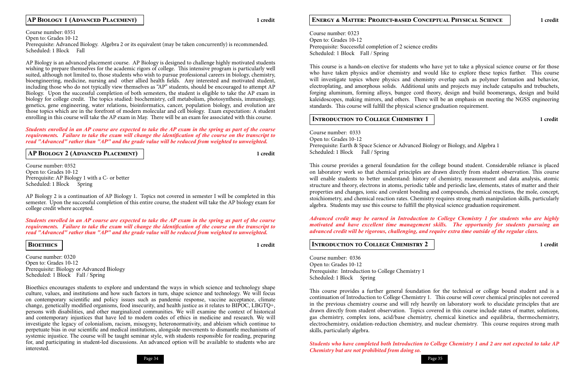

### **Energy & Matter: Project-based Conceptual Physical Science 1 credit**

Course number: 0323 Open to: Grades 10-12 Prerequisite: Successful completion of 2 science credits Scheduled: 1 Block Fall / Spring

> Course number: 0333 Open to: Grades 10-12 Prerequisite: Earth & Space Science or Advanced Biology or Biology, and Algebra 1 Scheduled: 1 Block Fall / Spring

This course is a hands-on elective for students who have yet to take a physical science course or for those who have taken physics and/or chemistry and would like to explore these topics further. This course will investigate topics where physics and chemistry overlap such as polymer formation and behavior, electroplating, and amorphous solids. Additional units and projects may include catapults and trebuchets, forging aluminum, forming alloys, bungee cord theory, design and build boomerangs, design and build kaleidoscopes, making mirrors, and others. There will be an emphasis on meeting the NGSS engineering standards. This course will fulfill the physical science graduation requirement.

### **INTRODUCTION TO COLLEGE CHEMISTRY 1** 1 credit

This course provides a general foundation for the college bound student. Considerable reliance is placed on laboratory work so that chemical principles are drawn directly from student observation. This course will enable students to better understand: history of chemistry, measurement and data analysis, atomic structure and theory, electrons in atoms, periodic table and periodic law, elements, states of matter and their properties and changes, ionic and covalent bonding and compounds, chemical reactions, the mole, concept, stoichiometry, and chemical reaction rates. Chemistry requires strong math manipulation skills, particularly algebra. Students may use this course to fulfill the physical science graduation requirement.

*Advanced credit may be earned in Introduction to College Chemistry 1 for students who are highly motivated and have excellent time management skills. The opportunity for students pursuing an advanced credit will be rigorous, challenging, and require extra time outside of the regular class.*

### **INTRODUCTION TO COLLEGE CHEMISTRY 2 1 1** credit

Course number: 0336 Open to: Grades 10-12 Prerequisite: Introduction to College Chemistry 1 Scheduled: 1 Block Spring

This course provides a further general foundation for the technical or college bound student and is a continuation of Introduction to College Chemistry 1. This course will cover chemical principles not covered in the previous chemistry course and will rely heavily on laboratory work to elucidate principles that are drawn directly from student observation. Topics covered in this course include states of matter, solutions, gas chemistry, complex ions, acid/base chemistry, chemical kinetics and equilibria, thermochemistry, electrochemistry, oxidation-reduction chemistry, and nuclear chemistry. This course requires strong math skills, particularly algebra.

Course number: 0320 Open to: Grades 10-12 Prerequisite: Biology or Advanced Biology Scheduled: 1 Block Fall / Spring

> *Students who have completed both Introduction to College Chemistry 1 and 2 are not expected to take AP Chemistry but are not prohibited from doing so.*

### **AP Biology 1 (Advanced Placement) 1 credit**

Course number: 0351 Open to: Grades 10-12 Prerequisite: Advanced Biology. Algebra 2 or its equivalent (may be taken concurrently) is recommended. Scheduled: 1 Block Fall

AP Biology is an advanced placement course. AP Biology is designed to challenge highly motivated students wishing to prepare themselves for the academic rigors of college. This intensive program is particularly well suited, although not limited to, those students who wish to pursue professional careers in biology, chemistry, bioengineering, medicine, nursing and other allied health fields. Any interested and motivated student, including those who do not typically view themselves as "AP" students, should be encouraged to attempt AP Biology. Upon the successful completion of both semesters, the student is eligible to take the AP exam in biology for college credit. The topics studied: biochemistry, cell metabolism, photosynthesis, immunology, genetics, gene engineering, water relations, bioinformatics, cancer, population biology, and evolution are those topics which are in the forefront of modern molecular and cell biology. Exam expectation: A student enrolling in this course will take the AP exam in May. There will be an exam fee associated with this course.

### *Students enrolled in an AP course are expected to take the AP exam in the spring as part of the course requirements. Failure to take the exam will change the identification of the course on the transcript to read "Advanced" rather than "AP" and the grade value will be reduced from weighted to unweighted.*

**AP Biology 2 (Advanced Placement) 1 credit**

Course number: 0352 Open to: Grades 10-12 Prerequisite: AP Biology 1 with a C- or better Scheduled: 1 Block Spring

AP Biology 2 is a continuation of AP Biology 1. Topics not covered in semester I will be completed in this semester. Upon the successful completion of this entire course, the student will take the AP biology exam for college credit where accepted.

*Students enrolled in an AP course are expected to take the AP exam in the spring as part of the course requirements. Failure to take the exam will change the identification of the course on the transcript to read "Advanced" rather than "AP" and the grade value will be reduced from weighted to unweighted.*

### **Bioethics 1 credit**

Bioethics encourages students to explore and understand the ways in which science and technology shape culture, values, and institutions and how such factors in turn, shape science and technology. We will focus on contemporary scientific and policy issues such as pandemic response, vaccine acceptance, climate change, genetically modified organisms, food insecurity, and health justice as it relates to BIPOC, LBGTQ+, persons with disabilities, and other marginalized communities. We will examine the context of historical and contemporary injustices that have led to modern codes of ethics in medicine and research. We will investigate the legacy of colonialism, racism, misogyny, heteronormativity, and ableism which continue to perpetuate bias in our scientific and medical institutions, alongside movements to dismantle mechanisms of systemic injustice. The course will be taught seminar style, with students responsible for reading, preparing for, and participating in student-led discussions. An advanced option will be available to students who are interested.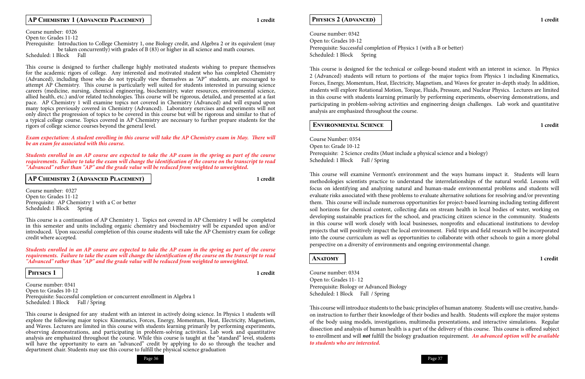### **AP CHEMISTRY 1 (ADVANCED PLACEMENT) 1** credit

### **PHYSICS 2 (ADVANCED) 1** credit



Course number: 0342 Open to: Grades 10-12 Prerequisite: Successful completion of Physics 1 (with a B or better) Scheduled: 1 Block Spring

Course Number: 0354 Open to: Grade 10-12 Prerequisite: 2 Science credits (Must include a physical science and a biology) Scheduled: 1 Block Fall / Spring

This course is designed for the technical or college-bound student with an interest in science. In Physics 2 (Advanced) students will return to portions of the major topics from Physics 1 including Kinematics, Forces, Energy, Momentum, Heat, Electricity, Magnetism, and Waves for greater in-depth study. In addition, students will explore Rotational Motion, Torque, Fluids, Pressure, and Nuclear Physics. Lectures are limited in this course with students learning primarily by performing experiments, observing demonstrations, and participating in problem-solving activities and engineering design challenges. Lab work and quantitative analysis are emphasized throughout the course.

### **Environmental Science 1 credit**

This course will examine Vermont's environment and the ways humans impact it. Students will learn methodologies scientists practice to understand the interrelationships of the natural world. Lessons will focus on identifying and analyzing natural and human-made environmental problems and students will evaluate risks associated with these problems to evaluate alternative solutions for resolving and/or preventing them. This course will include numerous opportunities for project-based learning including testing different soil horizons for chemical content, collecting data on stream health in local bodies of water, working on developing sustainable practices for the school, and practicing citizen science in the community. Students in this course will work closely with local businesses, nonprofits and educational institutions to develop projects that will positively impact the local environment. Field trips and field research will be incorporated into the course curriculum as well as opportunities to collaborate with other schools to gain a more global perspective on a diversity of environments and ongoing environmental change.

### **Anatomy 1 credit**

Course number: 0334 Open to: Grades 11- 12 Prerequisite: Biology or Advanced Biology Scheduled: 1 Block Fall / Spring

This course will introduce students to the basic principles of human anatomy. Students will use creative, handson instruction to further their knowledge of their bodies and health. Students will explore the major systems of the body using models, investigations, multimedia presentations, and interactive simulations. Regular dissection and analysis of human health is a part of the delivery of this course. This course is offered subject to enrollment and will *not* fulfill the biology graduation requirement. *An advanced option will be available to students who are interested.*

Course number: 0341 Open to: Grades 10-12 Prerequisite: Successful completion or concurrent enrollment in Algebra 1 Scheduled: 1 Block Fall / Spring

Course number: 0326 Open to: Grades 11-12

Prerequisite: Introduction to College Chemistry 1, one Biology credit, and Algebra 2 or its equivalent (may be taken concurrently) with grades of B (83) or higher in all science and math courses. Scheduled: 1 Block Fall

This course is designed to further challenge highly motivated students wishing to prepare themselves for the academic rigors of college. Any interested and motivated student who has completed Chemistry (Advanced), including those who do not typically view themselves as "AP" students, are encouraged to attempt AP Chemistry. This course is particularly well suited for students interested in pursuing science careers (medicine, nursing, chemical engineering, biochemistry, water resources, environmental science, allied health, etc.) and/or related technologies. This course will be rigorous, detailed, and presented at a fast pace. AP Chemistry 1 will examine topics not covered in Chemistry (Advanced) and will expand upon many topics previously covered in Chemistry (Advanced). Laboratory exercises and experiments will not only direct the progression of topics to be covered in this course but will be rigorous and similar to that of a typical college course. Topics covered in AP Chemistry are necessary to further prepare students for the rigors of college science courses beyond the general level.

*Exam expectation: A student enrolling in this course will take the AP Chemistry exam in May. There will be an exam fee associated with this course.* 

*Students enrolled in an AP course are expected to take the AP exam in the spring as part of the course requirements. Failure to take the exam will change the identification of the course on the transcript to read "Advanced" rather than "AP" and the grade value will be reduced from weighted to unweighted.*

**AP CHEMISTRY 2 (ADVANCED PLACEMENT)** | 1 credit

Course number: 0327 Open to: Grades 11-12 Prerequisite: AP Chemistry 1 with a C or better Scheduled: 1 Block Spring

This course is a continuation of AP Chemistry 1. Topics not covered in AP Chemistry 1 will be completed in this semester and units including organic chemistry and biochemistry will be expanded upon and/or introduced. Upon successful completion of this course students will take the AP Chemistry exam for college credit where accepted.

*Students enrolled in an AP course are expected to take the AP exam in the spring as part of the course requirements. Failure to take the exam will change the identification of the course on the transcript to read "Advanced" rather than "AP" and the grade value will be reduced from weighted to unweighted.*

**Physics 1 1 credit**

This course is designed for any student with an interest in actively doing science. In Physics 1 students will explore the following major topics: Kinematics, Forces, Energy, Momentum, Heat, Electricity, Magnetism, and Waves. Lectures are limited in this course with students learning primarily by performing experiments, observing demonstrations, and participating in problem-solving activities. Lab work and quantitative analysis are emphasized throughout the course. While this course is taught at the "standard" level, students will have the opportunity to earn an "advanced" credit by applying to do so through the teacher and department chair. Students may use this course to fulfill the physical science graduation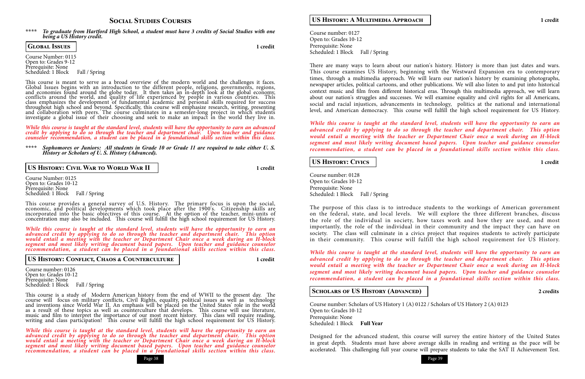

### **Social Studies Courses**

Course Number: 0115 Open to: Grades 9-12 Prerequisite: None Scheduled: 1 Block Fall / Spring

### **\*\*\*\*** *To graduate from Hartford High School, a student must have 3 credits of Social Studies with one being a US History credit.*

**Global Issues 1 credit**

This course is meant to serve as a broad overview of the modern world and the challenges it faces. Global Issues begins with an introduction to the different people, religions, governments, regions, and economies found around the globe today. It then takes an in-depth look at the global economy, conflicts around the world, and quality of life experienced by people in various countries. This class emphasizes the development of fundamental academic and personal skills required for success throughout high school and beyond. Specifically, this course will emphasize research, writing, presenting and collaboration with peers. The course culminates in a semester-long project in which students investigate a global issue of their choosing and seek to make an impact in the world they live in.

Course Number: 0125 Open to: Grades 10-12 Prerequisite: None Scheduled: 1 Block Fall / Spring

*While this course is taught at the standard level, students will have the opportunity to earn an advanced credit by applying to do so through the teacher and department chair. Upon teacher and guidance counselor recommendation, a student can be placed in a foundational skills section within this class.*

Course number: 0126 Open to: Grades 10-12 Prerequisite: None Scheduled: 1 Block Fall / Spring

**\*\*\*\*** *Sophomores or Juniors: All students in Grade 10 or Grade 11 are required to take either U. S. History or Scholars of U. S. History (Advanced).*

**US History: Civil War to World War II 1 credit**

This course provides a general survey of U.S. History. The primary focus is upon the social, economic, and political developments which took place after the 1900's. Citizenship skills are incorporated into the basic objectives of this course. At the option of the teacher, mini-units of concentration may also be included. This course will fulfill the high school requirement for US History.

Course number: 0127 Open to: Grades 10-12 Prerequisite: None Scheduled: 1 Block Fall / Spring

*While this course is taught at the standard level, students will have the opportunity to earn an advanced credit by applying to do so through the teacher and department chair. This option would entail a meeting with the teacher or Department Chair once a week during an H-block segment and most likely writing document based papers. Upon teacher and guidance counselor recommendation, a student can be placed in a foundational skills section within this class.*

### **US History: Conflict, Chaos & Counterculture 1 credit**

Course number: 0128 Open to: Grades 10-12 Prerequisite: None Scheduled: 1 Block Fall / Spring

This course is a study of Modern American history from the end of WWII to the present day. The course will focus on military conflicts, Civil Rights, equality, political issues as well as technology and inventions since World War II. An emphasis will be placed on the United States' role in the world as a result of these topics as well as counterculture that develops. This course will use literature, music and film to interpret the importance of our most recent history. This class will require reading, writing and class participation! This course will fulfill the high school requirement for US History.

*While this course is taught at the standard level, students will have the opportunity to earn an advanced credit by applying to do so through the teacher and department chair. This option would entail a meeting with the teacher or Department Chair once a week during an H-block segment and most likely writing document based papers. Upon teacher and guidance counselor recommendation, a student can be placed in a foundational skills section within this class.*

### **US History: A Multimedia Approach 1 credit**



*While this course is taught at the standard level, students will have the opportunity to earn an advanced credit by applying to do so through the teacher and department chair. This option would entail a meeting with the teacher or Department Chair once a week during an H-block segment and most likely writing document based papers. Upon teacher and guidance counselor recommendation, a student can be placed in a foundational skills section within this class.*

### **US History: Civics 1 credit**

The purpose of this class is to introduce students to the workings of American government on the federal, state, and local levels. We will explore the three different branches, discuss the role of the individual in society, how taxes work and how they are used, and most importantly, the role of the individual in their community and the impact they can have on society. The class will culminate in a civics project that requires students to actively participate in their community. This course will fulfill the high school requirement for US History.

*While this course is taught at the standard level, students will have the opportunity to earn an advanced credit by applying to do so through the teacher and department chair. This option would entail a meeting with the teacher or Department Chair once a week during an H-block segment and most likely writing document based papers. Upon teacher and guidance counselor recommendation, a student can be placed in a foundational skills section within this class.*

### **SCHOLARS OF US HISTORY (ADVANCED) 2** credits

Course number: Scholars of US History 1 (A) 0122 / Scholars of US History 2 (A) 0123 Open to: Grades 10-12 Prerequisite: None Scheduled: 1 Block **Full Year**

Designed for the advanced student, this course will survey the entire history of the United States in great depth. Students must have above average skills in reading and writing as the pace will be accelerated. This challenging full year course will prepare students to take the SAT II Achievement Test.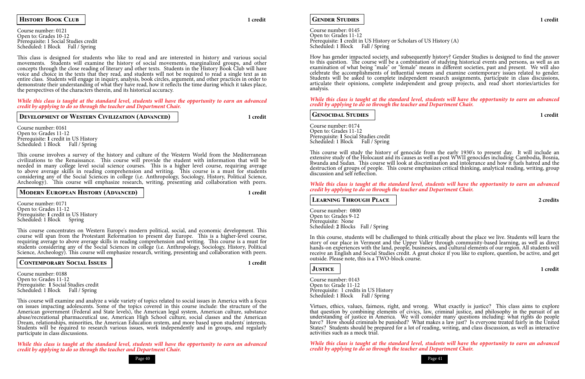### Page 40 Page 41

**GENDER STUDIES** 1 credit

Course number: 0121 Open to: Grades 10-12 Prerequisite: 1 Social Studies credit Scheduled: 1 Block Fall / Spring

### **History Book Club 1 credit**

This class is designed for students who like to read and are interested in history and various social movements. Students will examine the history of social movements, marginalized groups, and other concepts through the close reading of literary and other texts. Students in the History Book Club will have voice and choice in the texts that they read, and students will not be required to read a single text as an entire class. Students will engage in inquiry, analysis, book circles, argument, and other practices in order to demonstrate their understanding of what they have read, how it reflects the time during which it takes place, the perspectives of the characters therein, and its historical accuracy.

Course number: 0161 Open to: Grades 11-12<br>Prerequisite: 1 credit in US History Scheduled: 1 Block Fall / Spring

Course number: 0171 Open to: Grades 11-12 Prerequisite: 1 credit in US History<br>Scheduled: 1 Block Spring

*While this class is taught at the standard level, students will have the opportunity to earn an advanced credit by applying to do so through the teacher and Department Chair.*

### **DEVELOPMENT OF WESTERN CIVILIZATION (ADVANCED)** | 1 credit

Course number: 0188 Open to: Grades 11-12 Prerequisite: **1** Social Studies credit Scheduled: 1 Block Fall / Spring

This course involves a survey of the history and culture of the Western World from the Mediterranean civilizations to the Renaissance. This course will provide the student with information that will be needed in many college level social science courses. This is a higher level course, requiring average to above average skills in reading comprehension and writing. This course is a must for students considering any of the Social Sciences in college (i.e. Anthropology, Sociology, History, Political Science, Archeology). This course will emphasize research, writing, presenting and collaboration with peers.

### **MODERN EUROPEAN HISTORY (ADVANCED) 1** credit

Course number: 0145 Open to: Grades 11-12 Prerequisite: **1** credit in US History or Scholars of US History (A) Scheduled: 1 Block Fall / Spring

This course concentrates on Western Europe's modern political, social, and economic development. This course will span from the Protestant Reformation to present day Europe. This is a higher-level course, requiring average to above average skills in reading comprehension and writing. This course is a must for students considering any of the Social Sciences in college (i.e. Anthropology, Sociology, History, Political Science, Archeology). This course will emphasize research, writing, presenting and collaboration with peers.

Course number: 0174 Open to: Grades 11-12 Prerequisite: **1** Social Studies credit Scheduled: 1 Block Fall / Spring

### **Contemporary Social Issues 1 credit**

This course will examine and analyze a wide variety of topics related to social issues in America with a focus on issues impacting adolescents. Some of the topics covered in this course include: the structure of the American government (Federal and State levels), the American legal system, American culture, substance abuse/recreational pharmaceutical use, American High School culture, social classes and the American Dream, relationships, minorities, the American Education system, and more based upon students' interests. Students will be required to research various issues, work independently and in groups, and regularly participate in class discussions.

*While this class is taught at the standard level, students will have the opportunity to earn an advanced credit by applying to do so through the teacher and Department Chair.*

How has gender impacted society, and subsequently history? Gender Studies is designed to find the answer to this question. The course will be a combination of studying historical events and persons, as well as an examination of what being "male" or "female" means in different societies, past and present. We will also celebrate the accomplishments of influential women and examine contemporary issues related to gender. Students will be asked to complete independent research assignments, participate in class discussions, articulate their opinions, complete independent and group projects, and read short stories/articles for analysis.

*While this class is taught at the standard level, students will have the opportunity to earn an advanced credit by applying to do so through the teacher and Department Chair.*

**Genocidal Studies 1 credit**

This course will study the history of genocide from the early 1930's to present day. It will include an extensive study of the Holocaust and its causes as well as post WWII genocides including: Cambodia, Bosnia, Rwanda and Sudan. This course will look at discrimination and intolerance and how it fuels hatred and the destruction of groups of people. This course emphasizes critical thinking, analytical reading, writing, group discussion and self reflection.

*While this class is taught at the standard level, students will have the opportunity to earn an advanced credit by applying to do so through the teacher and Department Chair.*

**Learning Through Place 2 credits**

Course number: 0800 Open to: Grades 9-12 Prerequisite: None Scheduled: **2** Blocks Fall / Spring

In this course, students will be challenged to think critically about the place we live. Students will learn the story of our place in Vermont and the Upper Valley through community-based learning, as well as direct hands-on experiences with the land, people, businesses, and cultural elements of our region. All students will receive an English and Social Studies credit. A great choice if you like to explore, question, be active, and get outside. Please note, this is a TWO-block course.

### **Justice 1 credit**

Course number: 0143 Open to: Grade 11-12 Prerequisite: <sup>1</sup> credits in US History Scheduled: 1 Block Fall / Spring

Virtues, ethics, values, fairness, right, and wrong. What exactly is justice? This class aims to explore that question by combining elements of civics, law, criminal justice, and philosophy in the pursuit of an understanding of justice in America. We will consider many questions including: what rights do people have? How should criminals be punished? What makes a law just? Is everyone treated fairly in the United States? Students should be prepared for a lot of reading, writing, and class discussion, as well as interactive activities such as a mock trial.

*While this class is taught at the standard level, students will have the opportunity to earn an advanced credit by applying to do so through the teacher and Department Chair.*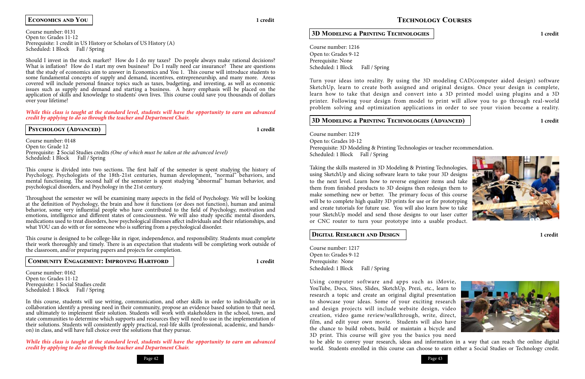

### Course number: 0131 Open to: Grades 11-12 Prerequisite: 1 credit in US History or Scholars of US History (A) Scheduled: 1 Block Fall / Spring

### **Economics and You 1 credit**

Should I invest in the stock market? How do I do my taxes? Do people always make rational decisions? What is inflation? How do I start my own business? Do I really need car insurance? These are questions that the study of economics aim to answer in Economics and You 1. This course will introduce students to some fundamental concepts of supply and demand, incentives, entrepreneurship, and many more. Areas covered will include personal finance topics such as taxes, budgeting, and investing, as well as economic issues such as supply and demand and starting a business. A heavy emphasis will be placed on the application of skills and knowledge to students' own lives. This course could save you thousands of dollars over your lifetime!

Course number: 0148 Open to: Grade 12 Prerequisite: **2** Social Studies credits *(One of which must be taken at the advanced level)* Scheduled: 1 Block Fall / Spring

Throughout the semester we will be examining many aspects in the field of Psychology. We will be looking at the definition of Psychology, the brain and how it functions (or does not function), human and animal behavior, some very influential people who have contributed to the field of Psychology, motivation and emotions, intelligence and different states of consciousness. We will also study specific mental disorders, medications used to treat disorders, how psychological illnesses affect individuals and their relationships, and what YOU can do with or for someone who is suffering from a psychological disorder.

*While this class is taught at the standard level, students will have the opportunity to earn an advanced credit by applying to do so through the teacher and Department Chair.*

### **PSYCHOLOGY (ADVANCED) 1** credit

Course number: 0162 Open to: Grades 11-12 Prerequisite: 1 Social Studies credit Scheduled: 1 Block Fall / Spring

This course is divided into two sections. The first half of the semester is spent studying the history of Psychology, Psychologists of the 18th-21st centuries, human development, "normal" behaviors, and mental functioning. The second half of the semester is spent studying "abnormal" human behavior, and psychological disorders, and Psychology in the 21st century.

Course number: 1216 Open to: Grades 9-12 Prerequisite: None Scheduled: 1 Block Fall / Spring

Course number: 1219 Open to: Grades 10-12 Prerequisite: 3D Modeling & Printing Technologies or teacher recommendation. Scheduled: 1 Block Fall / Spring

This course is designed to be college-like in rigor, independence, and responsibility. Students must complete their work thoroughly and timely. There is an expectation that students will be completing work outside of the classroom, and/or preparing papers and projects for completion.

Course number: 1217 Open to: Grades 9-12 Prerequisite: None Scheduled: 1 Block Fall / Spring

### **Community Engagement: Improving Hartford 1 credit**

In this course, students will use writing, communication, and other skills in order to individually or in collaboration identify a pressing need in their community, propose an evidence based solution to that need, and ultimately to implement their solution. Students will work with stakeholders in the school, town, and state communities to determine which supports and resources they will need to use in the implementation of their solutions. Students will consistently apply practical, real-life skills (professional, academic, and handson) in class, and will have full choice over the solutions that they pursue.

*While this class is taught at the standard level, students will have the opportunity to earn an advanced credit by applying to do so through the teacher and Department Chair.*

### **Technology Courses**



### **3D Modeling & Printing Technologies 1 credit**

Turn your ideas into reality. By using the 3D modeling CAD(computer aided design) software SketchUp, learn to create both assigned and original designs. Once your design is complete, learn how to take that design and convert into a 3D printed model using plugins and a 3D printer. Following your design from model to print will allow you to go through real-world problem solving and optimization applications in order to see your vision become a reality.

### **3D Modeling & Printing Technologies (Advanced) 1 credit**

Taking the skills mastered in 3D Modeling & Printing Technologies, using SketchUp and slicing software learn to take your 3D designs to the next level. Learn how to reverse engineer items and take them from finished products to 3D designs then redesign them to make something new or better. The primary focus of this course will be to complete high quality 3D prints for use or for prototyping and create tutorials for future use. You will also learn how to take your SketchUp model and send those designs to our laser cutter or CNC router to turn your prototype into a usable product.

### **Digital Research and Design 1 credit**

Using computer software and apps such as iMovie, YouTube, Docs, Sites, Slides, SketchUp, Prezi, etc., learn to research a topic and create an original digital presentation to showcase your ideas. Some of your exciting research and design projects will include website design, video creation, video game review/walkthrough, write, direct, film, and edit your own movie. Students will also have the chance to build robots, build or maintain a bicycle and 3D print. This course will give you the basics you need to be able to convey your research, ideas and information in a way that can reach the online digital world. Students enrolled in this course can choose to earn either a Social Studies or Technology credit.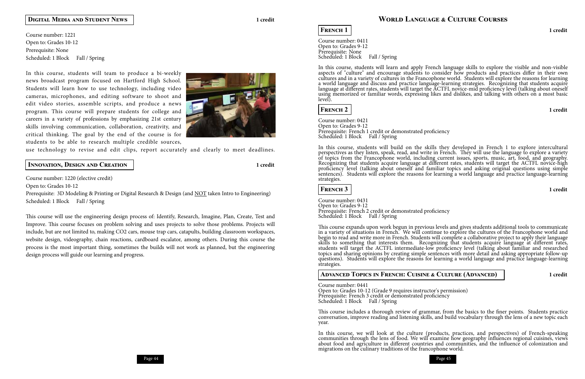Course number: 1221 Open to: Grades 10-12 Prerequisite: None Scheduled: 1 Block Fall / Spring

### **Digital Media and Student News 1 credit**

In this course, students will team to produce a bi-weekly news broadcast program focused on Hartford High School. Students will learn how to use technology, including video cameras, microphones, and editing software to shoot and edit video stories, assemble scripts, and produce a news program. This course will prepare students for college and careers in a variety of professions by emphasizing 21st century skills involving communication, collaboration, creativity, and critical thinking. The goal by the end of the course is for students to be able to research multiple credible sources,



Prerequisite: 3D Modeling & Printing or Digital Research & Design (and NOT taken Intro to Engineering) Scheduled: 1 Block Fall / Spring

use technology to revise and edit clips, report accurately and clearly to meet deadlines.

Course number: 0411 Open to: Grades 9-12 Prerequisite: None Scheduled: 1 Block Fall / Spring

### **Innovation, Design and Creation 1 credit**

Course number: 1220 (elective credit)

Open to: Grades 10-12

Course number: 0421 Open to: Grades 9-12 Prerequisite: French 1 credit or demonstrated proficiency<br>Scheduled: 1 Block Fall / Spring

This course will use the engineering design process of: Identify, Research, Imagine, Plan, Create, Test and Improve. This course focuses on problem solving and uses projects to solve those problems. Projects will include, but are not limited to, making CO2 cars, mouse trap cars, catapults, building classroom workspaces, website design, videography, chain reactions, cardboard escalator, among others. During this course the process is the most important thing, sometimes the builds will not work as planned, but the engineering design process will guide our learning and progress.

**FRENCH 1 1** credit

Open to: Grades 10-12 (Grade 9 requires instructor's permission) Prerequisite: French 3 credit or demonstrated proficiency<br>Scheduled: 1 Block Fall / Spring

In this course, students will learn and apply French language skills to explore the visible and non-visible aspects of "culture" and encourage students to consider how products and practices differ in their own cultures and in a variety of cultures in the Francophone world. Students will explore the reasons for learning a world language and discuss and practice language-learning strategies. Recognizing that students acquire language at different rates, students will target the ACTFL novice-mid proficiency level (talking about oneself using memorized or familiar words, expressing likes and dislikes, and talking with others on a most basic level).

### **French 2 1 credit**

In this course, students will build on the skills they developed in French 1 to explore intercultural perspectives as they listen, speak, read, and write in French. They will use the language to explore a variety of topics from the Francophone world, including current issues, sports, music, art, food, and geography. Recognizing that students acquire language at different rates, students will target the ACTFL novice-high proficiency level (talking about oneself and familiar topics and asking original questions using simple sentences). Students will explore the reasons for learning a world language and practice language-learning strategies.

### **French 3 1 credit**

Course number: 0431 Open to: Grades 9-12 Prerequisite: French 2 credit or demonstrated proficiency Scheduled: 1 Block Fall / Spring

This course expands upon work begun in previous levels and gives students additional tools to communicate in a variety of situations in French. We will continue to explore the cultures of the Francophone world and begin to read and write more in French. Students will complete a collaborative project to apply their language skills to something that interests them. Recognizing that students acquire language at different rates, students will target the ACTFL intermediate-low proficiency level (talking about familiar and researched topics and sharing opinions by creating simple sentences with more detail and asking appropriate follow-up questions). Students will explore the reasons for learning a world language and practice language-learning strategies.

### **Advanced Topics in French: Cuisine & Culture (Advanced) 1 credit**

Course number: 0441

This course includes a thorough review of grammar, from the basics to the finer points. Students practice conversation, improve reading and listening skills, and build vocabulary through the lens of a new topic each year.

migrations on the culinary traditions of the francophone world.

In this course, we will look at the culture (products, practices, and perspectives) of French-speaking communities through the lens of food. We will examine how geography influences regional cuisines, views about food and agriculture in different countries and communities, and the influence of colonization and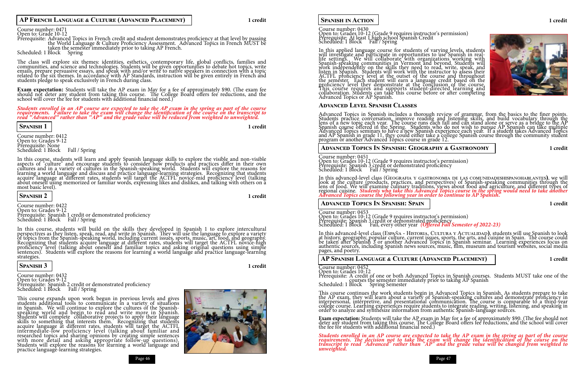### **AP French Language & Culture (Advanced Placement) 1 credit**

### Course number: 0471

### Open to: Grade 10-12

Prerequisite: Advanced Topics in French credit and student demonstrates proficiency at that level by passing the World Language & Culture Proficiency Assessment. Advanced Topics in French MUST be taken the semester immediately prior to taking AP French. Scheduled: 1 Block Spring

The class will explore six themes: identities, esthetics, contemporary life, global conflicts, families and communities, and science and technologies. Students will be given opportunities to debate hot topics, write emails, prepare persuasive essays, and speak with and/or write to native speakers in connection with a topic related to the six themes. In accordance with AP Standards, instruction will be given entirely in French and students pledge to speak exclusively in French during class.

Course number: 0412 Open to: Grades 9-12 Prerequisite: None Scheduled: 1 Block Fall / Spring

**Exam expectation:** Students will take the AP exam in May for a fee of approximately \$90. (The exam fee should not deter any student from taking this course. The College Board offers fee reductions, and the school will cover the fee for students with additional financial need.)

Course number: 0422 Open to: Grades 9-12 Prerequisite: Spanish 1 credit or demonstrated proficiency<br>Scheduled: 1 Block Fall / Spring

*Students enrolled in an AP course are expected to take the AP exam in the spring as part of the course requirements. Failure to take the exam will change the identification of the course on the transcript to read "Advanced" rather than "AP" and the grade value will be reduced from weighted to unweighted.*

### **Spanish 1 1 credit**

Course number: 0432 Open to: Grades 9-12 Prerequisite: Spanish 2 credit or demonstrated proficiency<br>Scheduled: 1 Block Fall / Spring

In this course, students will learn and apply Spanish language skills to explore the visible and non-visible aspects of "culture" and encourage students to consider how products and practices differ in their own cultures and in a variety of cultures in the Spanish-speaking world. Students will explore the reasons for learning a world language and discuss and practice language-learning strategies. Recognizing that students acquire language at different rates, students will target the ACTFL novice-mid proficiency level (talking about oneself using memorized or familiar words, expressing likes and dislikes, and talking with others on a most basic level).

Open to: Grades 10-12 (Grade 9 requires instructor's permission) Prerequisite: At least 1 high school Spanish Credit<br>Scheduled: 1 Block Fall / Spring

### **Spanish 2 1 credit**

In this applied language course for students of varying levels, students will investigate and participate in opportunities to use Spanish in reallife settings. We will collaborate with organizations working with Spanish-speaking communities in Vermont and beyond. Students will work independently on the skills they need to read, write, speak, and listen in Spanish. Students will work with the instructor to assess their ACTFL proficiency level at the outset of the course and throughout the semester. Each student will earn a language credit based on the proficiency level they demonstrate at the conclusion of the course. This course requires and supports student-directed learning and collaboration. Students can take this course before or after completing Advanced Topics or AP Spanish.

In this course, students will build on the skills they developed in Spanish 1 to explore intercultural perspectives as they listen, speak, read, and write in Spanish. They will use the language to explore a variety of topics from the Spanish-speaking world, including current issues, sports, music, art, food, and geography. Recognizing that students acquire language at different rates, students will target the ACTFL novice-high proficiency level (talking about oneself and familiar topics and asking original questions using simple sentences). Students will explore the reasons for learning a world language and practice language-learning strategies.

### **Spanish 3 1 credit**

Course number: 0453 Open to: Grades 10-12 (Grade 9 requires instructor's permission) Prerequisite: Spanish 3 credit or demonstrated proficiency<br>Scheduled: 1 Block Fall, every other year *(Offered Fall Semester of 2022-23)* 

In this advanced-level class (España - Historia, Cultura y Actualina<mark>p), students will use Spanish to look</mark><br>at history, geography, popular culture, current issues, sports, the arts, and cuisine in Spain. The course could be taken after Spanish 3 or another Advanced Topics in Spanish seminar. Learning experiences focus on authentic sources, including Spanish news sources, music, film, museum and tourism websites, social media pages, and poetry.

This course expands upon work begun in previous levels and gives students additional tools to communicate in a variety of situations in Spanish. We will continue to explore the cultures of the Spanishspeaking world and begin to read and write more in Spanish. Students will complete collaborative projects to apply their language skills to something that interests them. Recognizing that students acquire language at different rates, students will target the ACTFL intermediate-low proficiency level (talking about familiar and researched topics and sharing opinions by creating simple sentences with more detail and asking appropriate follow-up questions). Students will explore the reasons for learning a world language and practice language-learning strategies.



Page 46 Page 47 Page 47 Page 47 Page 47 Page 47 Page 47 Page 47 Page 47 Page 47 Page 47 Page 47 Page 47 Page 47



### **Spanish in Action 1 credit**

### Course number: 0430

**Exam expectation:** Students will take the AP exam in May for a fee of approximately \$90. (The fee should not<br>deter any student from taking this course. The College Board offers fee reductions, and the school will cover the fee for students with additional financial need.)

### **Advanced Level Spanish Classes**

Advanced Topics in Spanish includes a thorough review of grammar, from the basics to the finer points. Students practice conversation, improve reading and listening skills, and build vocabulary through the lens of a new topic each year. The course runs each fall and can stand alone or serve as a bridge to the AP Spanish course offered in the Spring. Students who do not wish to pursue AP Spanish can take multiple Advanced Topics seminars to have a new Spanish experience each year. If a student takes Advanced Topics and AP Spanish in grade 11, they could either take a college Spanish course through the community student program or another Advanced Topics course in grade 12.

### **Advanced Topics In Spanish: Geography & Gastronomy 1 credit**

Course number: 0451 Open to: Grades 10-12 (Grade 9 requires instructor's permission) Prerequisite: Spanish 3 credit or demonstrated proficiency Scheduled: 1 Block Fall / Spring

In this advanced-level class (Geografia y gastronomia de las comunidadeshispanohablantes<mark>)</mark>, we will<br>look at the culture (products, practices, and perspectives) of Spanish-speaking communities through the lens of food. We will examine culinary traditions, views about food and agriculture, and different types of regional cuisine. *Students who take this Advanced Topics course in the spring would need to take dnother*<br>Advanced Topics course the following year in order to continue to AP Spanish.

### **Advanced Topics In Spanish: Spain 1 credit**

### **AP Spanish Language & Culture (Advanced Placement) 1 credit**

Course number: 0452

Open to: Grades 10-12 Prerequisite: A credit of one or both Advanced Topics in Spanish courses. Students MUST take one of the courses the semester immediately prior to taking AP Spanish Scheduled: 1 Block Spring Semester

This course continues the work students begin in Advanced Topics in Spanish. As students prepare to take the AP exam, they will learn about a variety of Spanish-speaking cultures and demonstrate proficiency in interpersonal, interpretive, and presentational communication. The course is comparable to a third-year college course. Learning experiences require students to integrate reading, writing, listening, and speaking in order to analyze and synthesize information from authentic Spanish-language sources.

*Students enrolled in an AP course are expected to take the AP exam in the spring as part of the course requirements. The decision not to take the exam will change the identification of the course on the transcript to read "Advanced" rather than "AP" and the grade value will be changed from weighted to unweighted.*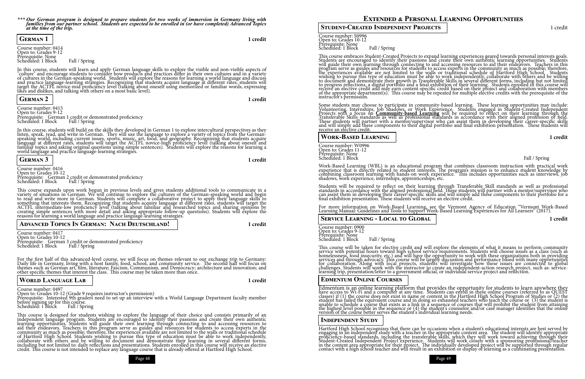

*\*\*\* Our German program is designed to prepare students for two weeks of immersion in Germany living with families from our partner school. Students are expected to be enrolled in (or have completed) Advanced Topics at the time of the trip.*

Course number: 0414 Open to: Grades 9-12 Prerequisite: None Scheduled: 1 Block Fall / Spring

## **German 1 1 credit**

Course number: 0415 Open to: Grades 9-12 Prerequisite: German 1 credit or demonstrated proficiency<br>Scheduled: 1 Block Fall / Spring

In this course, students will learn and apply German language skills to explore the visible and non-visible aspects of "culture" and encourage students to consider how products and practices differ in their own cultures and in a variety of cultures in the German-speaking world. Students will explore the reasons for learning a world language and discuss and practice language-learning strategies. Recognizing that students acquire language at different rates, students will target the ACTFL novice-mid proficiency level (talking about oneself using memorized or familiar words, expressing likes and dislikes, and talking with others on a most basic level).

Course number: 0416 Open to: Grades 10-12 Prerequisite: German 2 credit or demonstrated proficiency<br>Scheduled: 1 Block Fall / Spring

### **German 2 1 credit**

Course number: 0417 Open to: Grades 10-12 Prerequisite: German 3 credit or demonstrated proficiency<br>Scheduled: 1 Block Fall / Spring

For the first half of this advanced-level course, we will focus on themes relevant to our exchange trip to Germany: Daily life in Germany, living with a host family, food, school, and community service. The second half will focus on themes such as German art, film, literature; Fascism, Communism, and Democracy; architecture and innovation; and other specific themes that interest the class. This course may be taken more than once.

In this course, students will build on the skills they developed in German 1 to explore intercultural perspectives as they listen, speak, read, and write in German. They will use the language to explore a variety of topics from the Germanspeaking world, including current issues, sports, music, art, food, and geography. Recognizing that students acquire language at different rates, students will target the ACTFL novice-high proficiency level (talking about oneself and familiar topics and asking original questions using simple sentences). Students will explore the reasons for learning a world language and practice language-learning strategies.

### **German 3 1 credit**

This course expands upon work begun in previous levels and gives students additional tools to communicate in a variety of situations in German. We will continue to explore the cultures of the German-speaking world and begin to read and write more in German. Students will complete a collaborative project to apply their language skills to something that interests them. Recognizing that students acquire language at different rates, students will target the ACTFL intermediate-low proficiency level (talking about familiar and researched topics and sharing opinions by creating simple sentences with more detail and asking appropriate follow-up questions). Students will explore the reasons for learning a world language and practice language-learning strategies.

### **Advanced Topics In German: Nach Deutschland! 1 credit**

Some students may choose to participate in community-based learning. These learning opportunities may include: Volunteering, Internships, Job Shadows, or Work Experience. Students engaged in Student-Created Independent Projects with a focus on Community-based Learning will be required to reflect on their learning through the<br>Transferable Skills standards as well as professional standards in accordance with their aligned profession or fie These students will partner with a mentor/supervisor who can assist them in developing their career-specific skills and will simply add these components to their digital portfolio and final exhibition presentation. These students will receive an elective credit.

### **World Language Lab 1 credit**

Course number: W0996 Open to: Grades 11-12 Prerequisite: None Scheduled: 1 Block Fall / Spring

Course number: 0497 Open to: Grades 10-12 (Grade 9 requires instructor's permission)

Prerequisite: Interested 9th graders need to set up an interview with a World Language Department faculty member before signing up for this course.

Scheduled: 1 Block Fall / Spring

Students will be required to reflect on their learning through Transferable Skill standards as well as professional standards in accordance with the aligned professional field. These students will partner with a mentor/supervisor who can assist them in developing their career-specific skills and will simply add these components to their portfolio for a final exhibition presentation. These students will receive an elective credit.

Course number: 0900 Open to: Grades 9-12 Prerequisite: None Scheduled: 1 Block Fall / Spring

This course is designed for students wishing to explore the language of their choice and consists primarily of an independent language program. Students are encouraged to identify their passions and create their own authentic learning opportunities. Students will guide their own learning through connecting to and accessing resources to aid their endeavors. Teachers in this program serve as guides and resources for students to access experts in the community as much as possible; therefore, the experiences available are not limited to the walls or traditional schedule of Hartford High School. Students wishing to pursue this type of education must be able to work independently, collaborate with others and be willing to document and demonstrate their learning in several different forms, including but not limited to: daily reflections and presentations. Students enrolled in this course will receive an elective credit. This course is not intended to replace any language course that is already offered at Hartford High School.

This course will be taken for elective credit and will explore the elements of what it means to perform community service with potential hours toward high school service requirements. Students will choose issues as a class (such as homelessness, food insecurity, etc.) and will have the opportunity to work with these organizations both in providing services and through advocacy. This course will be largely discussion and performance based with many opportunities for collaboration. Along with local projects, students will investigate how these issues are connected to global challenges. Students will work with the instructor to create an independent-action research project, such as: servicelearning trip, presentation/letter to a government official, or individual service project and reflection.

### **Student-Created Independent Projects** 1 credit

Course number: S0996 Open to: Grades 10-12 Prerequisite: None Scheduled: 1 Block Fall / Spring

Edmentum is an online learning platform that provides the opportunity for students to learn anywhere they have access to Wi-Fi and a computer at any time. Students can enroll in these online courses (referred to as QUEST classes) if (1) the course does not exist in name or content in the Hartford High School Program of Studies or (2) the student has failed the equivalent course and in doing so exhausted teachers who teach the course or (3) the student is unable to schedule a course that exists as a link in a sequence of courses that will prohibit the student from attaining the highest level possible in the sequence or (4) the student's counselor and/or case manager identifies that the online version of the course better serves the student's individual learning needs.

This course embraces Student-Created Projects to expand learning experiences geared towards personal interests goals. Students are encouraged to identify their passions and create their own authentic learning opportunities. Students will guide their own learning through connecting to and accessing resources to aid their endeavors. Teachers in this program serve as guides and resources for students to access experts in the community as much as possible; therefore, the experiences available are not limited to the walls or traditional schedule of Hartford High School. Students wishing to pursue this type of education must be able to work independently, collaborate with others and be willing to document and demonstrate their growth in Transferable Skills in several different forms, including but not limited to progress reflections, a digital portfolio and a final exhibition of their learning. Students enrolled in this course will receive an elective credit and may earn content-specific credit based on their project and collaboration with members of the appropriate department(s). This course may be repeated for multiple elective credits with the prerequisite of the instructor's permission.

**Work-Based Learning 1 credit**

Work-Based Learning (WBL) is an educational program that combines classroom instruction with practical work experience that is directly related to student interests. The program's mission is to enhance student knowledge by combining classroom learning with hands-on work experience. This includes opportunities such as interviews, job shadows, work experience, internships, apprenticeships, etc.

For more information on Work-Based Learning, see the Vermont Agency of Education "Vermont Work-Based Learning Manual: Guidelines and Tools to Support Work-Based Learning Experiences for All Learners" (2017).

**Service Learning - Local to Global 1 credit**

### **Edmentum Online Courses**

### **Independent Study**

Hartford High School recognizes that there can be occasions when a student's educational interests are best served by engaging in an independent study with a teacher in the appropriate content area. The student will identify appropriate proficiency-based standards, including the transferable skills, which they will work toward achieving through their Student-Created Independent Project experience. Students will work closely with a sponsoring professional/teacher in the content area appropriate for their project. The individually developed project will be supported through regular contact with a high school teacher and will result in an exhibition or display of learning as a culminating presentation.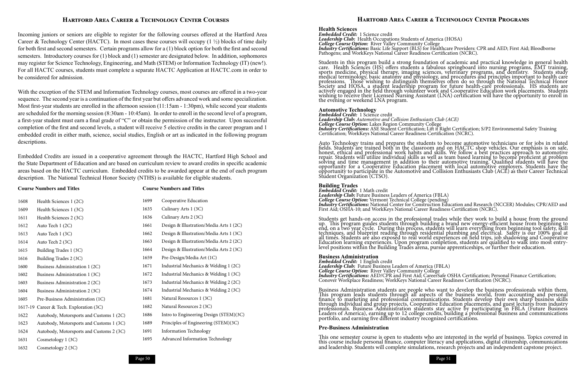Page 50 Page 51

### **Hartford Area Career & Technology Center Courses**

Incoming juniors or seniors are eligible to register for the following courses offered at the Hartford Area Career & Technology Center (HACTC). In most cases these courses will occupy  $(1 \frac{1}{2})$  blocks of time daily for both first and second semesters. Certain programs allow for a (1) block option for both the first and second semesters. Introductory courses for (1) block and (1) semester are designated below. In addition, sophomores may register for Science Technology, Engineering, and Math (STEM) or Information Technology (IT) (new!). For all HACTC courses, students must complete a separate HACTC Application at HACTC.com in order to be considered for admission.

With the exception of the STEM and Information Technology courses, most courses are offered in a two-year sequence. The second year is a continuation of the first year but offers advanced work and some specialization. Most first-year students are enrolled in the afternoon session (11:15am - 1:30pm), while second year students are scheduled for the morning session (8:30am - 10:45am). In order to enroll in the second level of a program, a first-year student must earn a final grade of "C" or obtain the permission of the instructor. Upon successful completion of the first and second levels, a student will receive 5 elective credits in the career program and 1 embedded credit in either math, science, social studies, English or art as indicated in the following program descriptions.

Embedded Credits are issued in a cooperative agreement through the HACTC, Hartford High School and the State Department of Education and are based on curriculum review to award credits in specific academic areas based on the HACTC curriculum. Embedded credits to be awarded appear at the end of each program description. The National Technical Honor Society (NTHS) is available for eligible students.

*Embedded Credit:* 1 Science credit *Leadership Club: Automotive and Collision Enthusiasts Club (ACE)* College Course Option: Lakes Region Community College<br> **College Course Option:** Lakes Region Community College<br> **Industry Certifications:** ASE Student Certification; Lift it Right Certification; S/P2 Environmental Safety T

### **Course Numbers and Titles Course Numbers and Titles**

### **Hartford Area Career & Technology Center Programs**

### **Health Sciences**

**Embedded Credit:** 1 Science credit<br> **Leadership Club:** Health Occupations Students of America (HOSA) College Course Option: River Valley Community College<br> *College Course Option*: River Valley Community College<br> *Industry Certifications*: Basic Life Support (BLS) for Healthcare Providers: CPR and AED; First Aid; Bloodbor

Students in this program build a strong foundation of academic and practical knowledge in general health care. Health Sciences (HS) offers students a fabulous springboard into nursing programs, EMT training, sports medicine, physical therapy, imaging sciences, veterinary programs, and dentistry. Students study medical terminology, basic anatomy and physiology, and procedures and principles important to health care professions. Those wishing to distinguish themselves often do so through the National Technical Honor Society and HOSA, a student leadership program for future health-care professionals. HS students are actively engaged in the field through volunteer work and Cooperative Education work placements. Students wishing to receive their Licensed Nursing Assistant (LNA) certification will have the opportunity to enroll in the evening or weekend LNA program.

### **Automotive Technology**

Auto Technology trains and prepares the students to become automotive technicians or for jobs in related fields. Students are trained both in the classroom and on HACTC shop vehicles. Our emphasis is on safe, honest, ethical and professional work habits and skills. We follow a best practices approach to automotive repair. Students will utilize individual skills as well as team based learning to become proficient at problem solving and time management in addition to their automotive training. Qualified students will have the opportunity for a Cooperative Education placement with local automotive employers. Students have the opportunity to participate in the Automotive and Collision Enthusiasts Club (ACE) as their Career Technical Student Organization (CTSO).

### **Building Trades**

| 1608 | Health Sciences 1 (2C)                   | 1699 | Cooperative Education                   |
|------|------------------------------------------|------|-----------------------------------------|
| 1609 | Health Sciences 1 (3C)                   | 1635 | Culinary Arts 1 (3C)                    |
| 1611 | Health Sciences 2 (3C)                   | 1636 | Culinary Arts 2 (3C)                    |
| 1612 | Auto Tech 1 (2C)                         | 1661 | Design & Illustration/Media Arts 1 (2C) |
| 1613 | Auto Tech 1 (3C)                         | 1662 | Design & Illustration/Media Arts 1 (3C) |
| 1614 | Auto Tech 2 (3C)                         | 1663 | Design & Illustration/Media Arts 2 (2C) |
| 1615 | Building Trades 1 (3C)                   | 1664 | Design & Illustration/Media Arts 2 (3C) |
| 1616 | Building Trades 2 (3C)                   | 1659 | Pre-Design/Media Art (1C)               |
| 1600 | Business Administration 1 (2C)           | 1671 | Industrial Mechanics & Welding 1 (2C)   |
| 1602 | Business Administration 1 (3C)           | 1672 | Industrial Mechanics & Welding 1 (3C)   |
| 1603 | Business Administration 2 (2C)           | 1673 | Industrial Mechanics & Welding 2 (2C)   |
| 1604 | Business Administration 2 (3C)           | 1674 | Industrial Mechanics & Welding 2 (3C)   |
| 1605 | Pre-Business Administration (1C)         | 1681 | Natural Resources 1 (3C)                |
|      | 1617-19 Career & Tech. Exploration (3C)  | 1682 | Natural Resources 2 (3C)                |
| 1622 | Autobody, Motorsports and Customs 1 (2C) | 1686 | Intro to Engineering Design (STEM)(3C)  |
| 1623 | Autobody, Motorsports and Customs 1 (3C) | 1689 | Principles of Engineering (STEM)(3C)    |
| 1624 | Autobody, Motorsports and Customs 2 (3C) | 1691 | <b>Information Technology</b>           |
| 1631 | Cosmetology 1 (3C)                       | 1695 | Advanced Information Technology         |
| 1632 | Cosmetology 2 (3C)                       |      |                                         |

*Embedded Credit:* 1 Math credit *Leadership Club:* Future Business Leaders of America (FBLA) *College Course Option:* Vermont Technical College (pending) *Industry Certifications:* National Center for Construction Education and Research (NCCER) Modules; CPR/AED and First Aid; OSHA-10; and WorkKeys National Career Readiness Certification (NCRC).

Students get hands-on access in the professional trades while they work to build a house from the ground up. This program guides students through building a brand new energy-efficient house from beginning to end, on a two year cycle. During this process, students will learn everything from beginning tool safety, skill techniques, and blueprint reading through residential plumbing and electrical. Safety is our 100% goal at all times. Students are also exposed to real world experiences on field trips, job shadowing and Cooperative Education learning experiences. Upon program completion, students are qualified to walk into most entrylevel positions within the Building Trades arena, pursue apprenticeships, or further their education.

### **Business Administration**

*Embedded Credit:* 1 English credit *Leadership Club:* Future Business Leaders of America (FBLA) *College Course Option:* River Valley Community College *Industry Certifications:* AED/CPR and First Aid; CareerSafe OSHA Certification; Personal Finance Certification; Conover Workplace Readiness; WorkKeys National Career Readiness Certification (NCRC).

Business Administration students are people who want to develop the business professionals within them. This program leads students through all aspects of the business world, from accounting and personal finance to marketing and professional communications. Students develop their own sharp business skills through individual and group projects, Cooperative Education placements, and guest lectures from industry professionals. Business Administration students stay active by participating in FBLA (Future Business Leaders of America), earning up to 12 college credits, building a professional business and communications portfolio, and earning five different industry recognized certifications.

### **Pre-Business Administration**

This one semester course is open to students who are interested in the world of business. Topics covered in this course include personal finance, computer literacy and applications, digital citizenship, communications and leadership. Students will complete simulations, research projects and an independent capstone project.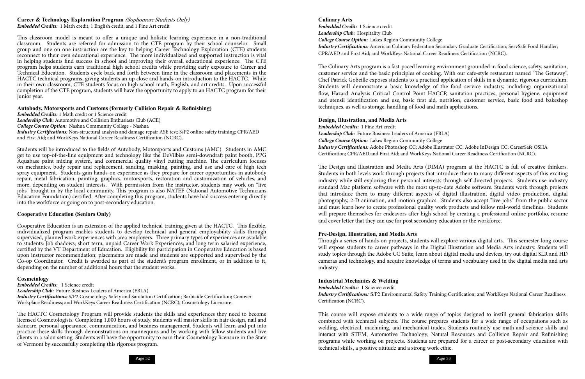Page 52 Page 53

### **Career & Technology Exploration Program** (Sophomore Students Only) *Embedded Credits:* 1 Math credit, 1 English credit, and 1 Fine Art credit

This classroom model is meant to offer a unique and holistic learning experience in a non-traditional classroom. Students are referred for admission to the CTE program by their school counselor. Small group and one on one instruction are the key to helping Career Technology Exploration (CTE) students reconnect to their own educational experience. The more individualized and supported instruction is vital in helping students find success in school and improving their overall educational experience. The CTE program helps students earn traditional high school credits while providing early exposure to Career and Technical Education. Students cycle back and forth between time in the classroom and placements in the HACTC technical programs, giving students an up close and hands-on introduction to the HACTC. While in their own classroom, CTE students focus on high school math, English, and art credits. Upon successful completion of the CTE program, students will have the opportunity to apply to an HACTC program for their junior year.

### **Autobody, Motorsports and Customs (formerly Collision Repair & Refinishing)**

*Embedded Credits:* 1 Math credit or 1 Science credit *Leadership Club:* Automotive and Collision Enthusiasts Club (ACE) *College Course Option:* Nashua Community College - Nashua *Industry Certifications:* Non-structural analysis and damage repair ASE test; S/P2 online safety training; CPR/AED and First Aid; and WorkKeys National Career Readiness Certification (NCRC).

Students will be introduced to the fields of Autobody, Motorsports and Customs (AMC). Students in AMC get to use top-of-the-line equipment and technology like the DeVilbiss semi-downdraft paint booth, PPG Aquabase paint mixing system, and commercial quality vinyl cutting machine. The curriculum focuses on mechanics, body repair and replacement, sanding, masking, painting, and use and care of high tech spray equipment. Students gain hands-on experience as they prepare for career opportunities in autobody repair, metal fabrication, painting, graphics, motorsports, restoration and customization of vehicles, and more, depending on student interests. With permission from the instructor, students may work on "live jobs'' brought in by the local community. This program is also NATEF (National Automotive Technicians Education Foundation) certified. After completing this program, students have had success entering directly into the workforce or going on to post-secondary education.

### **Cooperative Education (Seniors Only)**

Cooperative Education is an extension of the applied technical training given at the HACTC. This flexible, individualized program enables students to develop technical and general employability skills through supervised, planned work experiences with area employers. Three primary types of experiences are available to students: Job shadows; short term, unpaid Career Work Experiences; and long term salaried experience, certified by the VT Department of Education. Eligibility for participation in Cooperative Education is based upon instructor recommendation; placements are made and students are supported and supervised by the Co-op Coordinator. Credit is awarded as part of the student's program enrollment, or in addition to it, depending on the number of additional hours that the student works.

### **Cosmetology**

*Embedded Credits:* 1 Science credit *Leadership Club:* Future Business Leaders of America (FBLA) *Industry Certifications:* S/P2 Cosmetology Safety and Sanitation Certification; Barbicide Certification; Conover Workplace Readiness; and WorkKeys Career Readiness Certification (NCRC); Cosmetology Licensure.

The HACTC Cosmetology Program will provide students the skills and experiences they need to become licensed Cosmetologists. Completing 1,000 hours of study, students will master skills in hair design, nail and skincare, personal appearance, communication, and business management. Students will learn and put into practice these skills through demonstrations on mannequins and by working with fellow students and live clients in a salon setting. Students will have the opportunity to earn their Cosmetology licensure in the State of Vermont by successfully completing this rigorous program.



### **Culinary Arts**

*Embedded Credit:* 1 Science credit *Leadership Club:* Hospitality Club *College Course Option:* Lakes Region Community College *Industry Certifications:* American Culinary Federation Secondary Graduate Certification; ServSafe Food Handler; CPR/AED and First Aid; and WorkKeys National Career Readiness Certification (NCRC).

The Culinary Arts program is a fast-paced learning environment grounded in food science, safety, sanitation, customer service and the basic principles of cooking. With our cafe-style restaurant named "The Getaway", Chef Patrick Gobeille exposes students to a practical application of skills in a dynamic, rigorous curriculum. Students will demonstrate a basic knowledge of the food service industry, including: organizational flow, Hazard Analysis Critical Control Point HACCP, sanitation practices, personal hygiene, equipment and utensil identification and use, basic first aid, nutrition, customer service, basic food and bakeshop techniques, as well as storage, handling of food and math applications.

### **Design, Illustration, and Media Arts**

*Embedded Credits:* 1 Fine Art credit *Leadership Club:* Future Business Leaders of America (FBLA) *College Course Option:* Lakes Region Community College *Industry Certifications:* Adobe Photoshop CC; Adobe Illustrator CC; Adobe InDesign CC; CareerSafe OSHA Certification; CPR/AED and First Aid; and WorkKeys National Career Readiness Certification (NCRC).

The Design and Illustration and Media Arts (DIMA) program at the HACTC is full of creative thinkers. Students in both levels work through projects that introduce them to many different aspects of this exciting industry while still exploring their personal interests through self-directed projects. Students use industry standard Mac platform software with the most up-to-date Adobe software. Students work through projects that introduce them to many different aspects of digital illustration, digital video production, digital photography, 2-D animation, and motion graphics. Students also accept "live jobs" from the public sector and must learn how to create professional quality work products and follow real-world timelines. Students will prepare themselves for endeavors after high school by creating a professional online portfolio, resume and cover letter that they can use for post secondary education or the workforce.

### **Pre-Design, Illustration, and Media Arts**

Through a series of hands-on projects, students will explore various digital arts. This semester-long course will expose students to career pathways in the Digital Illustration and Media Arts industry. Students will study topics through the Adobe CC Suite, learn about digital media and devices, try out digital SLR and HD cameras and technology, and acquire knowledge of terms and vocabulary used in the digital media and arts industry.

### **Industrial Mechanics & Welding**

*Embedded Credits:* 1 Science credit *Industry Certifications:* S/P2 Environmental Safety Training Certification; and WorkKeys National Career Readiness Certification (NCRC).

This course will expose students to a wide range of topics designed to instill general fabrication skills combined with technical subjects. The course prepares students for a wide range of occupations such as welding, electrical, machining, and mechanical trades. Students routinely use math and science skills and interact with STEM, Automotive Technology, Natural Resources and Collision Repair and Refinishing programs while working on projects. Students are prepared for a career or post-secondary education with technical skills, a positive attitude and a strong work ethic.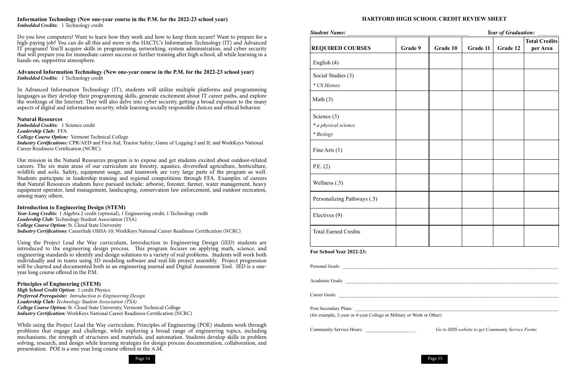

### **HARTFORD HIGH SCHOOL CREDIT REVIEW SHEET**

|                             |         |          |          |          | <b>Total Credits</b> |
|-----------------------------|---------|----------|----------|----------|----------------------|
| <b>REQUIRED COURSES</b>     | Grade 9 | Grade 10 | Grade 11 | Grade 12 | per Area             |
| English (4)                 |         |          |          |          |                      |
| Social Studies (3)          |         |          |          |          |                      |
| * US History                |         |          |          |          |                      |
| Math $(3)$                  |         |          |          |          |                      |
| Science $(3)$               |         |          |          |          |                      |
| * a physical science        |         |          |          |          |                      |
| $*$ Biology                 |         |          |          |          |                      |
| Fine Arts (1)               |         |          |          |          |                      |
|                             |         |          |          |          |                      |
| P.E. (2)                    |         |          |          |          |                      |
| Wellness $(.5)$             |         |          |          |          |                      |
|                             |         |          |          |          |                      |
| Personalizing Pathways (.5) |         |          |          |          |                      |
| Electives (9)               |         |          |          |          |                      |
|                             |         |          |          |          |                      |
| <b>Total Earned Credits</b> |         |          |          |          |                      |

*Year of Graduation:* 

| Year of Graduation:<br><b>Student Name:</b>                                                   |                                                                              |          |          |          | <b>Total Credits</b> |
|-----------------------------------------------------------------------------------------------|------------------------------------------------------------------------------|----------|----------|----------|----------------------|
| <b>REQUIRED COURSES</b>                                                                       | Grade 9                                                                      | Grade 10 | Grade 11 | Grade 12 | per Area             |
| English (4)                                                                                   |                                                                              |          |          |          |                      |
| Social Studies (3)                                                                            |                                                                              |          |          |          |                      |
| * US History                                                                                  |                                                                              |          |          |          |                      |
| Math $(3)$                                                                                    |                                                                              |          |          |          |                      |
| Science $(3)$                                                                                 |                                                                              |          |          |          |                      |
| * a physical science                                                                          |                                                                              |          |          |          |                      |
| * Biology                                                                                     |                                                                              |          |          |          |                      |
| Fine Arts $(1)$                                                                               |                                                                              |          |          |          |                      |
| P.E. (2)                                                                                      |                                                                              |          |          |          |                      |
| Wellness $(.5)$                                                                               |                                                                              |          |          |          |                      |
| Personalizing Pathways (.5)                                                                   |                                                                              |          |          |          |                      |
| Electives (9)                                                                                 |                                                                              |          |          |          |                      |
| <b>Total Earned Credits</b>                                                                   |                                                                              |          |          |          |                      |
| For School Year 2022-23:                                                                      |                                                                              |          |          |          |                      |
|                                                                                               |                                                                              |          |          |          |                      |
| Academic Goals:                                                                               |                                                                              |          |          |          |                      |
|                                                                                               |                                                                              |          |          |          |                      |
| Post Secondary Plans:<br>(for example, 2-year or 4-year College or Military or Work or Other) |                                                                              |          |          |          |                      |
|                                                                                               |                                                                              |          |          |          |                      |
|                                                                                               | Community Service Hours:<br>Go to HHS website to get Community Service Forms |          |          |          |                      |

### **Information Technology (New one-year course in the P.M. for the 2022-23 school year)** *Embedded Credits:* 1 Technology credit

Do you love computers? Want to learn how they work and how to keep them secure? Want to prepare for a high-paying job? You can do all this and more in the HACTC's Information Technology (IT) and Advanced IT programs! You'll acquire skills in programming, networking, system administration, and cyber security that will prepare you for immediate career success or further training after high school, all while learning in a hands-on, supportive atmosphere.

### **Advanced Information Technology (New one-year course in the P.M. for the 2022-23 school year)** *Embedded Credits:* 1 Technology credit

In Advanced Information Technology (IT), students will utilize multiple platforms and programming languages as they develop their programming skills, generate excitement about IT career paths, and explore the workings of the Internet. They will also delve into cyber security, getting a broad exposure to the many aspects of digital and information security, while learning socially responsible choices and ethical behavior.

**Natural Resources** *Embedded Credits:* 1 Science credit *Leadership Club:* FFA *College Course Option:* Vermont Technical College *Industry Certifications: CPR/AED and First Aid; Tractor Safety; Game of Logging I and II; and WorkKeys National* Career Readiness Certification (NCRC).

Our mission in the Natural Resources program is to expose and get students excited about outdoor-related careers. The six main areas of our curriculum are forestry, aquatics, diversified agriculture, horticulture, wildlife and soils. Safety, equipment usage, and teamwork are very large parts of the program as well. Students participate in leadership training and regional competitions through FFA. Examples of careers that Natural Resources students have pursued include: arborist, forester, farmer, water management, heavy equipment operator, land management, landscaping, conservation law enforcement, and outdoor recreation, among many others.

### **Introduction to Engineering Design (STEM)**

*Year-Long Credits:* 1 Algebra 2 credit (optional), 1 Engineering credit, 1 Technology credit *Leadership Club:* Technology Student Association (TSA) *College Course Option:* St. Cloud State University *Industry Certifications:* CareerSafe OSHA-10; WorkKeys National Career Readiness Certification (NCRC)

Using the Project Lead the Way curriculum, Introduction to Engineering Design (IED) students are introduced to the engineering design process. This program focuses on applying math, science, and engineering standards to identify and design solutions to a variety of real problems. Students will work both individually and in teams using 3D modeling software and real-life project assembly. Project progression will be charted and documented both in an engineering journal and Digital Assessment Tool. IED is a oneyear long course offered in the P.M.

### **Principles of Engineering (STEM)**

*High School Credit Option:* 1 credit Physics *Preferred Prerequisite: Introduction to Engineering Design Leadership Club: Technology Student Association (TSA) College Course Option:* St. Cloud State University, Vermont Technical College *Industry Certification:* WorkKeys National Career Readiness Certification (NCRC)

While using the Project Lead the Way curriculum, Principles of Engineering (POE) students work through problems that engage and challenge, while exploring a broad range of engineering topics, including mechanisms, the strength of structures and materials, and automation. Students develop skills in problem solving, research, and design while learning strategies for design process documentation, collaboration, and presentation. POE is a one-year long course offered in the A.M.